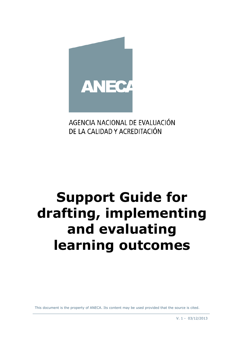

AGENCIA NACIONAL DE EVALUACIÓN DE LA CALIDAD Y ACREDITACIÓN

# **Support Guide for drafting, implementing and evaluating learning outcomes**

This document is the property of ANECA. Its content may be used provided that the source is cited.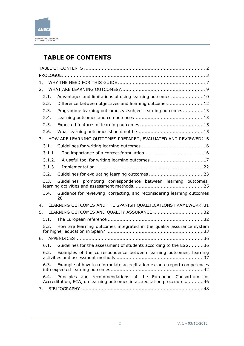

# <span id="page-1-0"></span>**TABLE OF CONTENTS**

| 1.     |                                                                                                                                         |
|--------|-----------------------------------------------------------------------------------------------------------------------------------------|
| 2.     |                                                                                                                                         |
| 2.1.   | Advantages and limitations of using learning outcomes10                                                                                 |
| 2.2.   | Difference between objectives and learning outcomes12                                                                                   |
| 2.3.   | Programme learning outcomes vs subject learning outcomes13                                                                              |
| 2.4.   |                                                                                                                                         |
| 2.5.   |                                                                                                                                         |
| 2.6.   |                                                                                                                                         |
| 3.     | HOW ARE LEARNING OUTCOMES PREPARED, EVALUATED AND REVIEWED?16                                                                           |
| 3.1.   |                                                                                                                                         |
| 3.1.1. |                                                                                                                                         |
| 3.1.2. | A useful tool for writing learning outcomes 17                                                                                          |
| 3.1.3. |                                                                                                                                         |
| 3.2.   |                                                                                                                                         |
| 3.3.   | Guidelines promoting correspondence between learning outcomes,                                                                          |
| 3.4.   | Guidance for reviewing, correcting, and reconsidering learning outcomes<br>28                                                           |
| 4.     | LEARNING OUTCOMES AND THE SPANISH QUALIFICATIONS FRAMEWORK.31                                                                           |
| 5.     | LEARNING OUTCOMES AND QUALITY ASSURANCE 32                                                                                              |
| 5.1.   |                                                                                                                                         |
| 5.2.   | How are learning outcomes integrated in the quality assurance system                                                                    |
| 6.     |                                                                                                                                         |
| 6.1.   | Guidelines for the assessment of students according to the ESG36                                                                        |
| 6.2.   | Examples of the correspondence between learning outcomes, learning                                                                      |
| 6.3.   | Example of how to reformulate accreditation ex-ante report competences                                                                  |
| 6.4.   | Principles and recommendations of the European Consortium for<br>Accreditation, ECA, on learning outcomes in accreditation procedures46 |
| 7.     |                                                                                                                                         |
|        |                                                                                                                                         |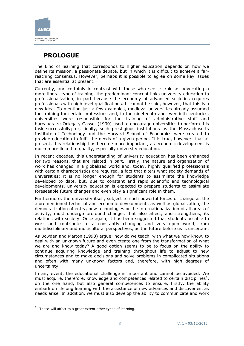

# <span id="page-2-0"></span>**PROLOGUE**

The kind of learning that corresponds to higher education depends on how we define its mission, a passionate debate, but in which it is difficult to achieve a farreaching consensus. However, perhaps it is possible to agree on some key issues that are essential at present.

Currently, and certainly in contrast with those who see its role as advocating a more liberal type of training, the predominant concept links university education to professionalization, in part because the economy of advanced societies requires professionals with high level qualifications. It cannot be said, however, that this is a new idea. To mention just a few examples, medieval universities already assumed the training for certain professions and, in the nineteenth and twentieth centuries, universities were responsible for the training of administrative staff and bureaucrats; Ortega y Gasset (1930) used to encourage universities to perform this task successfully; or, finally, such prestigious institutions as the Massachusetts Institute of Technology and the Harvard School of Economics were created to provide education to fulfil the needs of a given period. It is true, however, that at present, this relationship has become more important, as economic development is much more linked to quality, especially university education.

In recent decades, this understanding of university education has been enhanced for two reasons, that are related in part. Firstly, the nature and organization of work has changed in a globalized world and, today, highly qualified professionals with certain characteristics are required, a fact that alters what society demands of universities: it is no longer enough for students to assimilate the knowledge developed to date, but, due to constant and rapid scientific and technological developments, university education is expected to prepare students to assimilate foreseeable future changes and even play a significant role in them.

Furthermore, the university itself, subject to such powerful forces of change as the aforementioned technical and economic developments as well as globalization, the democratization of entry, new technologies or the internationalization of all areas of activity, must undergo profound changes that also affect, and strengthens, its relations with society. Once again, it has been suggested that students be able to work and contribute to a constantly changing and very open world, from multidisciplinary and multicultural perspectives, as the future before us is uncertain.

As Bowden and Marton (1998) argue; how do we teach, with what we now know, to deal with an unknown future and even create one from the transformation of what we are and know today? A good option seems to be to focus on the ability to continue acquiring knowledge and training throughout life to adjust to new circumstances and to make decisions and solve problems in complicated situations and often with many unknown factors and, therefore, with high degrees of uncertainty.

In any event, the educational challenge is important and cannot be avoided. We must acquire, therefore, knowledge and competences related to certain disciplines<sup>1</sup>, on the one hand, but also general competences to ensure, firstly, the ability embark on lifelong learning with the assistance of new advances and discoveries, as needs arise. In addition, we must also develop the ability to communicate and work

-

 $1$  These will affect to a great extent other types of learning.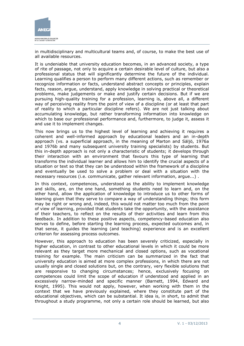

in multidisciplinary and multicultural teams and, of course, to make the best use of all available resources.

It is undeniable that university education becomes, in an advanced society, a type of rite of passage, not only to acquire a certain desirable level of culture, but also a professional status that will significantly determine the future of the individual. Learning qualifies a person to perform many different actions, such as remember or recognize information or facts, understand abstract concepts or principles, explain facts, reason, argue, understand, apply knowledge in solving practical or theoretical problems, make judgements or make and justify certain decisions. But if we are pursuing high-quality training for a profession, learning is, above all, a different way of perceiving reality from the point of view of a discipline (or at least that part of reality to which a particular discipline refers). We are not just talking about accumulating knowledge, but rather transforming information into knowledge on which to base our professional performance and, furthermore, to judge it, assess it and use it to implement changes.

This now brings us to the highest level of learning and achieving it requires a coherent and well-informed approach by educational leaders and an in-depth approach (vs. a superficial approach, in the meaning of Marton and Säljö, 1976a and 1976b and many subsequent university training specialists) by students. But this in-depth approach is not only a characteristic of students; it develops through their interaction with an environment that favours this type of learning that transforms the individual learner and allows him to identify the crucial aspects of a situation or text so that they can be understood within the framework of a discipline and eventually be used to solve a problem or deal with a situation with the necessary resources (i.e. communicate, gather relevant information, argue...) .

In this context, competences, understood as the ability to implement knowledge and skills, are, on the one hand, something students need to learn and, on the other hand, allow the application of knowledge to introduce us to other forms of learning given that they serve to compare a way of understanding things; this form may be right or wrong and, indeed, this would not matter too much from the point of view of learning, provided that students take the opportunity, with the assistance of their teachers, to reflect on the results of their activities and learn from this feedback. In addition to these positive aspects, competency-based education also serves to define, before starting the learning process, expected outcomes and, in that sense, it guides the learning (and teaching) experience and is an excellent criterion for assessing process outcomes.

However, this approach to education has been severely criticized, especially in higher education, in contrast to other educational levels in which it could be more relevant as they target more mechanical and closed options, such as vocational training for example. The main criticism can be summarized in the fact that university education is aimed at more complex professions, in which there are not usually single and closed solutions but, on the contrary, very flexible solutions that are responsive to changing circumstances; hence, exclusively focusing on competences could limit the scope of education if understood and applied in an excessively narrow-minded and specific manner (Barnett, 1994, Edward and Knight, 1995). This would not apply, however, when working with them in the context that we have previously explained, where they constitute part of the educational objectives, which can be substantial. It idea is, in short, to admit that throughout a study programme, not only a certain role should be learned, but also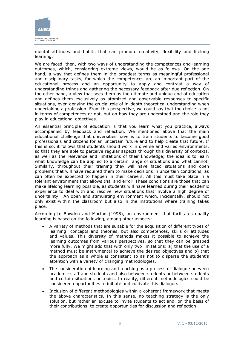

mental attitudes and habits that can promote creativity, flexibility and lifelong learning.

We are faced, then, with two ways of understanding the competences and learning outcomes, which, considering extreme views, would be as follows. On the one hand, a way that defines them in the broadest terms as meaningful professional and disciplinary tasks, for which the competences are an important part of the educational process and an opportunity to apply and contrast a way of understanding things and gathering the necessary feedback after due reflection. On the other hand, a view that sees them as the ultimate and unique end of education and defines them exclusively as atomized and observable responses to specific situations, even denying the crucial role of in-depth theoretical understanding when undertaking a profession. From this perspective, we could say that the choice is not in terms of competences or not, but on how they are understood and the role they play in educational objectives.

An essential principle of education is that you learn what you practice, always accompanied by feedback and reflection. We mentioned above that the main educational challenge that universities have is to train students to become good professionals and citizens for an uncertain future and to help create that future. If this is so, it follows that students should work in diverse and varied environments, so that they are able to perceive regular aspects through this diversity of contexts, as well as the relevance and limitations of their knowledge; the idea is to learn what knowledge can be applied to a certain range of situations and what cannot. Similarly, throughout their training they will have faced situations and open problems that will have required them to make decisions in uncertain conditions, as can often be expected to happen in their careers. All this must take place in a tolerant environment that allows trial and error. These conditions are those that can make lifelong learning possible, as students will have learned during their academic experience to deal with and resolve new situations that involve a high degree of uncertainty. An open and stimulating environment which, incidentally, should not only exist within the classroom but also in the institutions where training takes place.

According to Bowden and Marton (1998), an environment that facilitates quality learning is based on the following, among other aspects:

- A variety of methods that are suitable for the acquisition of different types of learning: concepts and theories, but also competences, skills or attitudes and values. This diversity of methods makes it possible to achieve the learning outcomes from various perspectives, so that they can be grasped more fully. We might add that with only two limitations: a) that the use of a method must be instrumental to achieve the desired objectives and b) that the approach as a whole is consistent so as not to disperse the student's attention with a variety of changing methodologies.
- The consideration of learning and teaching as a process of dialogue between academic staff and students and also between students or between students and certain situations or topics. In reality, different methodologies could be considered opportunities to initiate and cultivate this dialogue.
- Inclusion of different methodologies within a coherent framework that meets the above characteristics. In this sense, no teaching strategy is the only solution, but rather an excuse to invite students to act and, on the basis of their contributions, to create opportunities for discussion and reflection.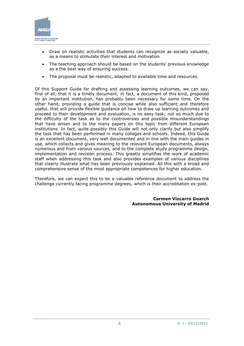

- Draw on realistic activities that students can recognize as socially valuable, as a means to stimulate their interest and motivation
- The teaching approach should be based on the students' previous knowledge as a the best way of ensuring success.
- The proposal must be realistic, adapted to available time and resources.

Of this Support Guide for drafting and assessing learning outcomes, we can say, first of all, that it is a timely document; in fact, a document of this kind, proposed by an important institution, has probably been necessary for some time. On the other hand, providing a guide that is concise while also sufficient and therefore useful, that will provide flexible guidance on how to draw up learning outcomes and proceed to their development and evaluation, is no easy task; not so much due to the difficulty of the task as to the controversies and possible misunderstandings that have arisen and to the many papers on this topic from different European institutions. In fact, quite possibly this Guide will not only clarify but also simplify the task that has been performed in many colleges and schools. Indeed, this Guide is an excellent document, very well documented and in line with the main guides in use, which collects and gives meaning to the relevant European documents, always numerous and from various sources, and to the complete study programme design, implementation and revision process. This greatly simplifies the work of academic staff when addressing this task and also provides examples of various disciplines that clearly illustrate what has been previously explained. All this with a broad and comprehensive sense of the most appropriate competences for higher education.

Therefore, we can expect this to be a valuable reference document to address the challenge currently facing programme degrees, which is their accreditation ex-post.

> **Carmen Vizcarro Guarch Autonomous University of Madrid**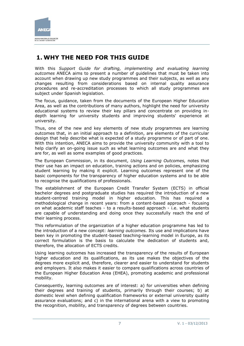

# <span id="page-6-0"></span>**1. WHY THE NEED FOR THIS GUIDE**

With this Support Guide for drafting, implementing and evaluating learning *outcomes* ANECA aims to present a number of guidelines that must be taken into account when drawing up new study programmes and their subjects, as well as any changes resulting from considerations based on internal quality assurance procedures and re-accreditation processes to which all study programmes are subject under Spanish legislation.

The focus, guidance, taken from the documents of the European Higher Education Area, as well as the contributions of many authors, highlight the need for university educational systems to review their key pillars and concentrate on providing indepth learning for university students and improving students' experience at university.

Thus, one of the new and key elements of new study programmes are learning outcomes that, in an initial approach to a definition, are elements of the curricular design that help describe what is expected of a study programme or of part of one. With this intention, ANECA aims to provide the university community with a tool to help clarify an on-going issue such as what learning outcomes are and what they are for, as well as some examples of good practices.

The European Commission, in its document, *Using Learning Outcomes,* notes that their use has an impact on education, training actions and on policies, emphasizing student learning by making it explicit. Learning outcomes represent one of the basic components for the transparency of higher education systems and to be able to recognise the qualifications of professionals.

The establishment of the European Credit Transfer System (ECTS) in official bachelor degrees and postgraduate studies has required the introduction of a new student-centred training model in higher education. This has required a methodological change in recent years: from a content-based approach - focusing on what academic staff teaches - to a results-based approach - i.e. what students are capable of understanding and doing once they successfully reach the end of their learning process.

This reformulation of the organization of a higher education programme has led to the introduction of a new concept: *learning outcomes.* Its use and implications have been key in promoting the student-based teaching-learning model in Europe, as its correct formulation is the basis to calculate the dedication of students and, therefore, the allocation of ECTS credits.

Using learning outcomes has increased the transparency of the results of European higher education and its qualifications, as its use makes the objectives of the degrees more explicit and, therefore, clearer and easier to understand for students and employers. It also makes it easier to compare qualifications across countries of the European Higher Education Area (EHEA), promoting academic and professional mobility.

Consequently, learning outcomes are of interest: a) for universities when defining their degrees and training of students, primarily through their courses; b) at domestic level when defining qualification frameworks or external university quality assurance evaluations; and c) in the international arena with a view to promoting the recognition, mobility, and transparency of degrees between countries.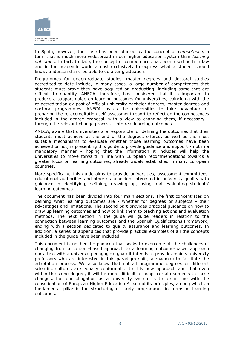

In Spain, however, their use has been blurred by the concept of *competence,* a term that is much more widespread in our higher education system than *learning outcomes.* In fact, to date, the concept of competences has been used both in law and in the academic world almost exclusively to express what a student should know, understand and be able to do after graduation.

Programmes for undergraduate studies, master degrees and doctoral studies accredited to date include, in many cases, a large number of competences that students must prove they have acquired on graduating, including some that are difficult to quantify. ANECA, therefore, has considered that it is important to produce a support guide on learning outcomes for universities, coinciding with the re-accreditation ex-post of official university bachelor degrees, master degrees and doctoral programmes. ANECA invites the universities to take advantage of preparing the re-accreditation self-assessment report to reflect on the competences included in the degree proposal, with a view to changing them, if necessary through the relevant change process - into real learning outcomes.

ANECA, aware that universities are responsible for defining the outcomes that their students must achieve at the end of the degrees offered, as well as the most suitable mechanisms to evaluate whether those learning outcomes have been achieved or not, is presenting this guide to provide guidance and support - not in a mandatory manner - hoping that the information it includes will help the universities to move forward in line with European recommendations towards a greater focus on learning outcomes, already widely established in many European countries.

More specifically, this guide aims to provide universities, assessment committees, educational authorities and other stakeholders interested in university quality with guidance in identifying, defining, drawing up, using and evaluating students' learning outcomes.

The document has been divided into four main sections. The first concentrates on defining what learning outcomes are - whether for degrees or subjects - their advantages and limitations. The second part provides practical guidance on how to draw up learning outcomes and how to link them to teaching actions and evaluation methods. The next section in the guide will guide readers in relation to the connection between learning outcomes and the Spanish Qualifications Framework; ending with a section dedicated to quality assurance and learning outcomes. In addition, a series of appendices that provide practical examples of all the concepts included in the guide have been included.

This document is neither the panacea that seeks to overcome all the challenges of changing from a content-based approach to a learning outcome-based approach nor a text with a universal pedagogical goal; it intends to provide, mainly university professors who are interested in this paradigm shift, a roadmap to facilitate the adaptation process. We also know that not all programme degrees or different scientific cultures are equally conformable to this new approach and that even within the same degree, it will be more difficult to adapt certain subjects to these changes, but our obligation as a university system is to be in line with the consolidation of European Higher Education Area and its principles, among which, a fundamental pillar is the structuring of study programmes in terms of learning outcomes.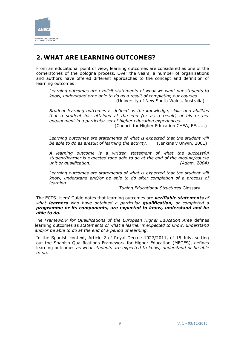

# <span id="page-8-0"></span>**2. WHAT ARE LEARNING OUTCOMES?**

From an educational point of view, learning outcomes are considered as one of the cornerstones of the Bologna process. Over the years, a number of organizations and authors have offered different approaches to the concept and definition of learning outcomes:

*Learning outcomes are explicit statements of what we want our students to know, understand orbe able to do as a result of completing our courses.*  (University of New South Wales, Australia)

*Student learning outcomes is defined as the knowledge, skills and abilities that a student has attained at the end (or as a result) of his or her engagement in a particular set of higher education experiences.* (Council for Higher Education CHEA, EE.UU.)

Learning outcomes are statements of what is expected that the student will

*be able to do as aresult of learning the activity.* (Jenkins y Unwin, 2001)

*A learning outcome is a written statement of what the successful student/learner is expected tobe able to do at the end of the module/course unit or qualification. (Adam, 2004)*

Learning outcomes are statements of what is expected that the student will *know, understand and/or be able to do after completion of a process of learning.* 

*Tuning Educational Structures* Glossary

The ECTS Users' Guide notes that learning outcomes are *verifiable statements of what learners who have obtained a particular qualification, or completed a programme or its components, are expected to know, understand and be able to do.*

The *Framework for Qualifications of the European Higher Education Area* defines learning outcomes as *statements of what a learner is expected to know, understand and/or be able to do at the end of a period of learning.*

In the Spanish context, Article 2 of Royal Decree 1027/2011, of 15 July, setting out the Spanish Qualifications Framework for Higher Education (MECES), defines learning outcomes *as what students are expected to know, understand or be able to do.*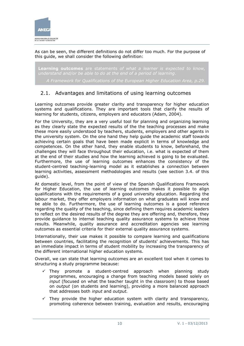

As can be seen, the different definitions do not differ too much. For the purpose of this guide, we shall consider the following definition:

**Learning outcomes** are statements *of what a learner is expected to know,* 

*A Framework for Qualifications of the European Higher Education Area, p.29.*

### <span id="page-9-0"></span>2.1. Advantages and limitations of using learning outcomes

Learning outcomes provide greater clarity and transparency for higher education systems and qualifications. They are important tools that clarify the results of learning for students, citizens, employers and educators (Adam, 2004).

For the University, they are a very useful tool for planning and organizing learning as they clearly state the expected results of the the teaching processes and make these more easily understood by teachers, students, employers and other agents in the university system. On the one hand they help guide the academic staff towards achieving certain goals that have been made explicit in terms of knowledge and competences. On the other hand, they enable students to know, beforehand, the challenges they will face throughout their education, i.e. what is expected of them at the end of their studies and how the learning achieved is going to be evaluated. Furthermore, the use of learning outcomes enhances the consistency of the student-centred teaching-learning model as it establishes a connection between learning activities, assessment methodologies and results (see section 3.4. of this guide).

At domestic level, from the point of view of the Spanish Qualifications Framework for Higher Education, the use of learning outcomes makes it possible to align qualifications with the requirements of a good university education. Regarding the labour market, they offer employers information on what graduates will know and be able to do. Furthermore, the use of learning outcomes is a good reference regarding the quality of the teaching, since defining them requires academic leaders to reflect on the desired results of the degree they are offering and, therefore, they provide guidance to internal teaching quality assurance systems to achieve those results. Meanwhile, quality assurance and accreditation agencies see learning outcomes as essential criteria for their external quality assurance systems.

Internationally, their use makes it possible to compare learning and qualifications between countries, facilitating the recognition of students' achievements. This has an immediate impact in terms of student mobility by increasing the transparency of the different international higher education systems.

Overall, we can state that learning outcomes are an excellent tool when it comes to structuring a study programme because:

- $\checkmark$  They promote a student-centred approach when planning study programmes, encouraging a change from teaching models based solely on *input* (focused on what the teacher taught in the classroom) to those based on *output* (on students and learning), providing a more balanced approach that addresses both *input* and *output.*
- $\checkmark$  They provide the higher education system with clarity and transparency, promoting coherence between training, evaluation and results, encouraging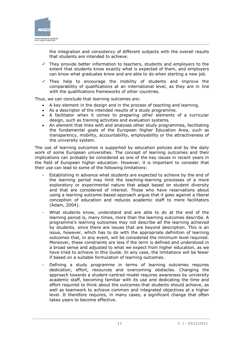

the integration and consistency of different subjects with the overall results that students are intended to achieve.

- $\checkmark$  They provide better information to teachers, students and employers to the extent that students know exactly what is expected of them, and employers can know what graduates know and are able to do when starting a new job.
- $\checkmark$  They help to encourage the mobility of students and improve the comparability of qualifications at an international level, as they are in line with the qualifications frameworks of other countries.

Thus, we can conclude that learning outcomes are:

- A key element in the design and in the process of teaching and learning.
- As a descriptor of the intended results of a study programme.
- A facilitator when it comes to preparing other elements of a curricular design, such as training activities and evaluation systems.
- An element that links with and analyses other study programmes, facilitating the fundamental goals of the European Higher Education Area, such as transparency, mobility, accountability, employability or the attractiveness of the university system.

The use of learning outcomes is supported by education policies and by the daily work of some European universities. The concept of learning outcomes and their implications can probably be considered as one of the key issues in recent years in the field of European higher education. However, it is important to consider that their use can lead to some of the following limitations:

- Establishing in advance what students are expected to achieve by the end of the learning period may limit the teaching-learning processes of a more exploratory or experimental nature that adapt based on student diversity and that are considered of interest. Those who have reservations about using a learning outcome-based approach argue that it goes against a liberal conception of education and reduces academic staff to mere facilitators (Adam, 2004).
- What students know, understand and are able to do at the end of the learning period is, many times, more than the learning outcomes describe. A programme's learning outcomes may not describe all the learning achieved by students, since there are issues that are beyond description. This is an issue, however, which has to do with the appropriate definition of learning outcomes that, in any event, will be considered the minimum level required. Moreover, these constraints are less if the term is defined and understood in a broad sense and adjusted to what we expect from higher education, as we have tried to achieve in this Guide. In any case, the limitations will be fewer if based on a suitable formulation of learning outcomes.
- Defining a study programme in terms of learning outcomes requires dedication, effort, resources and overcoming obstacles. Changing the approach towards a student-centred model requires awareness by university academic staff, becoming familiar with its use and dedicating the time and effort required to think about the outcomes that students should achieve, as well as teamwork to achieve common and integrated objectives at a higher level. It therefore requires, in many cases, a significant change that often takes years to become effective.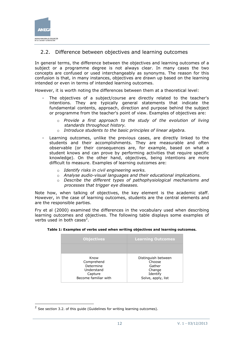

### <span id="page-11-0"></span>2.2. Difference between objectives and learning outcomes

In general terms, the difference between the objectives and learning outcomes of a subject or a programme degree is not always clear. In many cases the two concepts are confused or used interchangeably as synonyms. The reason for this confusion is that, in many instances, objectives are drawn up based on the learning intended or even in terms of intended learning outcomes.

However, it is worth noting the differences between them at a theoretical level:

- The objectives of a subject/course are directly related to the teacher's intentions. They are typically general statements that indicate the fundamental contents, approach, direction and purpose behind the subject or programme from the teacher's point of view. Examples of objectives are:
	- o *Provide a first approach to the study of the evolution of living standards throughout history.*
	- o *Introduce students to the basic principles of linear algebra.*
- Learning outcomes, unlike the previous cases, are directly linked to the students and their accomplishments. They are measurable and often observable (or their consequences are, for example, based on what a student knows and can prove by performing activities that require specific knowledge). On the other hand, objectives, being intentions are more difficult to measure. Examples of learning outcomes are:
	- o *Identify risks in civil engineering works.*
	- o *Analyse audio-visual languages and their educational implications.*
	- o *Describe the different types of pathophysiological mechanisms and processes that trigger eye diseases.*

Note how, when talking of objectives, the key element is the academic staff. However, in the case of learning outcomes, students are the central elements and are the responsible parties.

Fry et al (2000) examined the differences in the vocabulary used when describing learning outcomes and objectives. The following table displays some examples of verbs used in both cases<sup>2</sup>.

| <b>Objectives</b>                                                                | <b>Learning Outcomes</b>                                                            |  |  |
|----------------------------------------------------------------------------------|-------------------------------------------------------------------------------------|--|--|
|                                                                                  |                                                                                     |  |  |
| Know<br>Comprehend<br>Determine<br>Understand<br>Capture<br>Become familiar with | Distinguish between<br>Choose<br>Gather<br>Change<br>Identify<br>Solve, apply, list |  |  |

#### **Table 1: Examples of verbs used when writing objectives and learning outcomes.**

-

 $2$  See section 3.2. of this guide (Guidelines for writing learning outcomes).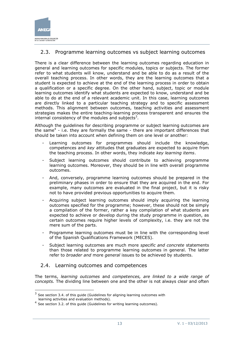

## <span id="page-12-0"></span>2.3. Programme learning outcomes vs subject learning outcomes

There is a clear difference between the learning outcomes regarding education in general and learning outcomes for specific modules, topics or subjects. The former refer to what students will know, understand and be able to do as a result of the overall teaching process. In other words, they are the learning outcomes that a student is expected to achieve at the end of the learning process in order to obtain a qualification or a specific degree. On the other hand, subject, topic or module learning outcomes identify what students are expected to know, understand and be able to do at the end of a relevant academic unit. In this case, learning outcomes are directly linked to a particular teaching strategy and to specific assessment methods. This alignment between outcomes, teaching activities and assessment strategies makes the entire teaching-learning process transparent and ensures the internal consistency of the modules and subjects<sup>3</sup>.

Although the guidelines for describing programme or subject learning outcomes are the same<sup>4</sup> - i.e. they are formally the same - there are important differences that should be taken into account when defining them on one level or another:

- Learning outcomes for programmes should include the knowledge, competences and *key* attitudes that graduates are expected to acquire from the teaching process. In other words, they indicate *key learning items*.
- Subject learning outcomes should contribute to achieving programme learning outcomes. Moreover, they should be in line with overall programme outcomes.
- And, conversely, programme learning outcomes should be prepared in the preliminary phases in order to ensure that they are acquired in the end. For example, many outcomes are evaluated in the final project, but it is risky not to have provided previous opportunities to acquire them.
- Acquiring subject learning outcomes should imply acquiring the learning outcomes specified for the programme; however, these should not be simply a compilation of the former, rather a key compilation of what students are expected to achieve or develop during the study programme in question, as certain outcomes require higher levels of complexity, i.e. they are not the mere sum of the parts.
- Programme learning outcomes must be in line with the corresponding level of the Spanish Qualifications Framework (MECES).
- Subject learning outcomes are much more *specific and concrete* statements than those related to programme learning outcomes in general. The latter refer to *broader and* more *general* issues to be achieved by students.

### <span id="page-12-1"></span>2.4. Learning outcomes and competences

The terms, *learning outcomes* and *competences, are linked to a wide range of concepts.* The dividing line between one and the other is not always clear and often

 3 See section 3.4. of this guide (Guidelines for aligning learning outcomes with learning activities and evaluation methods).

 $<sup>4</sup>$  See section 3.2. of this guide (Guidelines for writing learning outcomes).</sup>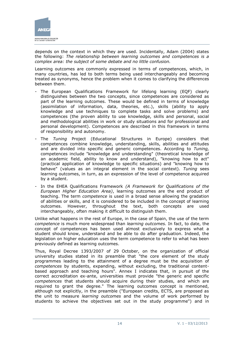

depends on the context in which they are used. Incidentally, Adam (2004) states the following: *The relationship between learning outcomes and competences is a complex area: the subject of some debate and no little confusion.*

Learning outcomes are commonly expressed in terms of competences, which, in many countries, has led to both terms being used interchangeably and becoming treated as synonyms, hence the problem when it comes to clarifying the differences between them.

- The European Qualifications Framework for lifelong learning (EQF) clearly distinguishes between the two concepts, since competences are considered as part of the learning outcomes. These would be defined in terms of knowledge (assimilation of information, data, theories, etc.), skills (ability to apply knowledge and use techniques to complete tasks and solve problems) and competences (the proven ability to use knowledge, skills and personal, social and methodological abilities in work or study situations and for professional and personal development). Competences are described in this framework in terms of responsibility and autonomy.
- The *Tuning* Project (Educational Structures in Europe) considers that competences combine knowledge, understanding, skills, abilities and attitudes and are divided into specific and generic competences. According to *Tuning,* competences include "knowledge and understanding" (theoretical knowledge of an academic field, ability to know and understand), "knowing how to act" (practical application of knowledge to specific situations) and "knowing how to behave" (values as an integral element in the social context). *Tuning* sees learning outcomes, in turn, as an expression of the level of competence acquired by a student.
- In the EHEA Qualifications Framework *(A Framework for Qualifications of the European Higher Education Area)*, learning outcomes are the end product of teaching. The term *competence* is used in a broad sense allowing the gradation of abilities or skills, and it is considered to be included in the concept of learning outcomes. However, throughout the text, both concepts are used interchangeably, often making it difficult to distinguish them.

Unlike what happens in the rest of Europe, in the case of Spain, the use of the term *competence* is much more widespread than *learning outcomes.* In fact, to date, the concept of competences has been used almost exclusively to express what a student should know, understand and be able to do after graduation. Indeed, the legislation on higher education uses the term competence to refer to what has been previously defined as learning outcomes.

Thus, Royal Decree 1393/2007 of 29 October, on the organization of official university studies stated in its preamble that "the core element of the study programmes leading to the attainment of a degree must be the acquisition of *competences* by students, expanding, without excluding, the traditional contentbased approach and teaching hours". Annex I indicates that, in pursuit of the correct accreditation ex-ante, universities must provide "the generic and specific *competences* that students should acquire during their studies, and which are required to grant the degree." The learning outcomes concept is mentioned, although not explicitly, in the preamble ("European credits, ECTS, are proposed as the unit to measure *learning outcomes* and the volume of work performed by students to achieve the objectives set out in the study programme") and in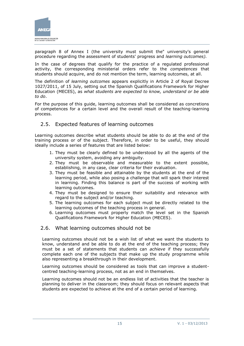

paragraph 8 of Annex I (the university must submit the" university's general procedure regarding the assessment of students' progress and *learning outcomes).*

In the case of degrees that qualify for the practice of a regulated professional activity, the corresponding ministerial orders refer to the *competences* that students should acquire, and do not mention the term, learning outcomes, at all.

The definition of *learning outcomes* appears explicitly in Article 2 of Royal Decree 1027/2011, of 15 July, setting out the Spanish Qualifications Framework for Higher Education (MECES), as *what students are expected to know, understand or be able to do*.

For the purpose of this guide, learning outcomes shall be considered as concretions of competences for a certain level and the overall result of the teaching-learning process.

### <span id="page-14-0"></span>2.5. Expected features of learning outcomes

Learning outcomes describe what students should be able to do at the end of the training process or of the subject. Therefore, in order to be useful, they should ideally include a series of features that are listed below:

- 1. They must be clearly defined to be understood by all the agents of the university system, avoiding any ambiguity.
- 2. They must be observable and measurable to the extent possible, establishing, in any case, clear criteria for their evaluation.
- 3. They must be feasible and attainable by the students at the end of the learning period, while also posing a challenge that will spark their interest in learning. Finding this balance is part of the success of working with learning outcomes.
- 4. They must be designed to ensure their suitability and relevance with regard to the subject and/or teaching.
- 5. The learning outcomes for each subject must be directly related to the learning outcomes of the teaching process in general.
- 6. Learning outcomes must properly match the level set in the Spanish Qualifications Framework for Higher Education (MECES).

### <span id="page-14-1"></span>2.6. What learning outcomes should not be

Learning outcomes should not be a wish list of what we want the students to know, understand and be able to do at the end of the teaching process; they must be a set of statements that students can *achieve* if they successfully complete each one of the subjects that make up the study programme while also representing a breakthrough in their development.

Learning outcomes should be considered as tools that can improve a studentcentred teaching-learning process, not as an end in themselves.

Learning outcomes should not be an endless list of activities that the teacher is planning to deliver in the classroom; they should focus on relevant aspects that students are expected to achieve at the end of a certain period of learning.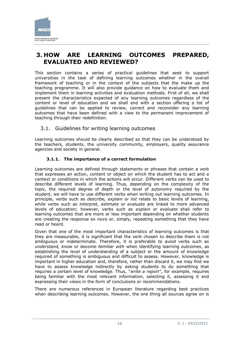

# <span id="page-15-0"></span>**3. HOW ARE LEARNING OUTCOMES PREPARED, EVALUATED AND REVIEWED?**

This section contains a series of practical guidelines that seek to support universities in the task of defining learning outcomes whether in the overall framework of teaching or in the context of the subjects that the make up the teaching programme. It will also provide guidance on how to evaluate them and implement them in learning activities and evaluation methods. First of all, we shall present the characteristics expected of any learning outcomes regardless of the content or level of education and we shall end with a section offering a list of guidelines that can be applied to review, correct and reconsider any learning outcomes that have been defined with a view to the permanent improvement of teaching through their redefinition.

### <span id="page-15-1"></span>3.1. Guidelines for writing learning outcomes

Learning outcomes should be clearly described so that they can be understood by the teachers, students, the university community, employers, quality assurance agencies and society in general.

### **3.1.1. The importance of a correct formulation**

<span id="page-15-2"></span>Learning outcomes are defined through statements or phrases that contain a verb that expresses an action, content or object on which the student has to act and a context or conditions in which the actions will occur. Different verbs can be used to describe different levels of learning. Thus, depending on the complexity of the topic, the required degree of depth or the level of autonomy required by the student, we will have to use different verbs when writing out learning outcomes. In principle, verbs such as *describe, explain* or *list* relate to basic levels of learning, while verbs such as *interpret, estimate or evaluate* are linked to more advanced levels of education; however, verbs such as *explain* or *evaluate* shall refer to learning outcomes that are more or less important depending on whether students are creating the response ex novo or, simply, repeating something that they have read or heard.

Given that one of the most important characteristics of learning outcomes is that they are measurable, it is significant that the verb chosen to describe them is not ambiguous or indeterminate. Therefore, it is preferable to avoid verbs such as *understand, know* or *become familiar with* when identifying learning outcomes, as establishing the level of understanding of a subject or the amount of knowledge required of something is ambiguous and difficult to assess. However, knowledge is important in higher education and, therefore, rather than discard it, we may find we have to assess knowledge indirectly by asking students to do something that requires a certain level of knowledge. Thus, "*write a report"*, for example, requires being familiar with the most relevant information, selecting it, assessing it and expressing their views in the form of conclusions or recommendations.

There are numerous references in European literature regarding best practices when describing learning outcomes. However, the one thing all sources agree on is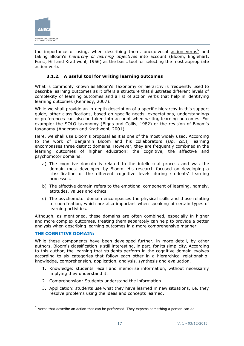

the importance of using, when describing them, unequivocal  $\frac{\text{action} \cdot \text{verbs}^5}{\text{action} \cdot \text{verbs}^5}$  and taking Bloom's *hierarchy of learning objectives* into account (Bloom, Englehart, Furst, Hill and Krathwohl, 1956) as the basic tool for selecting the most appropriate action verb.

### **3.1.2. A useful tool for writing learning outcomes**

<span id="page-16-0"></span>What is commonly known as Bloom's Taxonomy or hierarchy is frequently used to describe learning outcomes as it offers a structure that illustrates different levels of complexity of learning outcomes and a list of action verbs that help in identifying learning outcomes (Kennedy, 2007).

While we shall provide an in-depth description of a specific hierarchy in this support guide, other classifications, based on specific needs, expectations, understandings or preferences can also be taken into account when writing learning outcomes. For example: the SOLO taxonomy (Biggs and Collis, 1982) or the revision of Bloom's taxonomy (Anderson and Krathwohl, 2001).

Here, we shall use Bloom's proposal as it is one of the most widely used. According to the work of Benjamin Bloom and his collaborators (*Op. cit.*), learning encompasses three distinct domains. However, they are frequently combined in the learning outcomes of higher education: the cognitive, the affective and psychomotor domains.

- a) The cognitive domain is related to the intellectual process and was the domain most developed by Bloom. His research focused on developing a classification of the different cognitive levels during students' learning processes.
- b) The affective domain refers to the emotional component of learning, namely, attitudes, values and ethics.
- c) The psychomotor domain encompasses the physical skills and those relating to coordination, which are also important when speaking of certain types of learning activities.

Although, as mentioned, these domains are often combined, especially in higher and more complex outcomes, treating them separately can help to provide a better analysis when describing learning outcomes in a more comprehensive manner.

#### **THE COGNITIVE DOMAIN:**

-

While these components have been developed further, in more detail, by other authors, Bloom's classification is still interesting, in part, for its simplicity. According to this author, the learning that students perform in the cognitive domain evolves according to six categories that follow each other in a hierarchical relationship: knowledge, comprehension, application, analysis, synthesis and evaluation.

- 1. Knowledge: students recall and memorise information, without necessarily implying they understand it.
- 2. Comprehension: Students understand the information.
- 3. Application: students use what they have learned in new situations, i.e. they resolve problems using the ideas and concepts learned.

<sup>&</sup>lt;sup>5</sup> Verbs that describe an action that can be performed. They express something a person can do.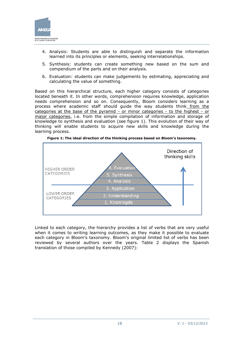

- 4. Analysis: Students are able to distinguish and separate the information learned into its principles or elements, seeking interrelationships.
- 5. Synthesis: students can create something new based on the sum and compendium of the parts and on their analysis.
- 6. Evaluation: students can make judgements by estimating, appreciating and calculating the value of something.

Based on this hierarchical structure, each higher category consists of categories located beneath it. In other words, comprehension requires knowledge, application needs comprehension and so on. Consequently, Bloom considers learning as a process where academic staff should guide the way students think from the categories at the base of the pyramid - or minor categories - to the highest - or major categories, i.e. from the simple compilation of information and storage of knowledge to synthesis and evaluation (see figure 1). This evolution of their way of thinking will enable students to acquire new skills and knowledge during the learning process.



**Figure 1: The ideal direction of the thinking process based on Bloom's taxonomy.**

Linked to each category, the hierarchy provides a list of verbs that are very useful when it comes to writing learning outcomes, as they make it possible to evaluate each category in Bloom's taxonomy. Bloom's original limited list of verbs has been reviewed by several authors over the years. Table 2 displays the Spanish translation of those compiled by Kennedy (2007):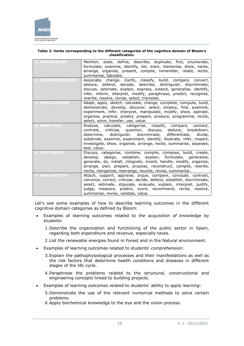

#### **Table 2: Verbs corresponding to the different categories of the cognitive domain of Bloom's classification.**

| <b>1. KNOWLEDGE</b>   | Mention, state, define, describe, duplicate, find, enumerate,<br>formulate, examine, identify, list, mark, memorise, show, name,<br>arrange, organise, present, compile, remember, relate, recite,<br>summarise, tabulate.                                                                                                                                           |
|-----------------------|----------------------------------------------------------------------------------------------------------------------------------------------------------------------------------------------------------------------------------------------------------------------------------------------------------------------------------------------------------------------|
| <b>COMPREHENSIO</b>   | Associate, change, clarify, classify, build, compare, convert,<br>deduce, defend, decode, describe, distinguish, discriminate,<br>discuss, estimate, explain, express, extend, generalise, identify,<br>infer, inform, interpret, modify, paraphrase, predict, recognise,<br>rewrite, resolve, revise, select, translate.                                            |
| <b>3. APPLICATION</b> | Adapt, apply, sketch, calculate, change, complete, compute, build,<br>demonstrate, develop, discover, select, employ, find, examine,<br>experiment, infer, interpret, manipulate, modify, show, operate,<br>organise, practice, predict, prepare, produce, programme, recite,<br>select, solve, transfer, use, value.                                                |
| 4. ANALYSIS           | Analyse, calculate, categorise, classify, compare,<br>connect,<br>contrast, criticise, question, discuss, deduce, breakdown,<br>distinguish, discriminate,<br>determine,<br>differentiate,<br>divide,<br>subdivide, examine, experiment, identify, illustrate, infer, inspect,<br>investigate, show, organise, arrange, recite, summarise, separate,<br>test, value. |
| <u>SYNTHESIS</u>      | Discuss, categorise, combine, compile, compose, build, create,<br>develop, design, establish, explain, formulate, generalise,<br>generate, do, install, integrate, invent, handle, modify, organise,<br>arrange, plan, prepare, propose, reconstruct, compile, rewrite,<br>recite, reorganise, rearrange, reunite, revise, summarise.                                |
| <b>6. EVALUATION</b>  | Attach, support, appraise, argue, compare, conclude, contrast,<br>convince, correct, criticise, decide, defend, establish, discriminate,<br>select, estimate, stipulate, evaluate, explain, interpret, justify,<br>judge, measure, predict, score, recommend, recite, resolve,<br>summarise, revise, validate, value.                                                |

Let's see some examples of how to describe learning outcomes in the different cognitive domain categories as defined by Bloom:

- Examples of learning outcomes related to *the acquisition of knowledge* by students:
	- 1.Describe the organization and functioning of the public sector in Spain, regarding both expenditure and revenue, especially taxes.
	- 2.List the renewable energies found in Forest and in the Natural environment.
- Examples of learning outcomes related to students' *comprehension*:
	- 3.Explain the pathophysiological processes and their manifestations as well as the risk factors that determine health conditions and diseases in different stages of the life cycle.
	- 4.Paraphrase the problems related to the structural, constructional and engineering concepts linked to building projects.
- Examples of learning outcomes related to students' ability to *apply learning*:
	- 5.Demonstrate the use of the relevant numerical methods to solve certain problems.
	- 6.Apply biochemical knowledge to the eye and the vision process.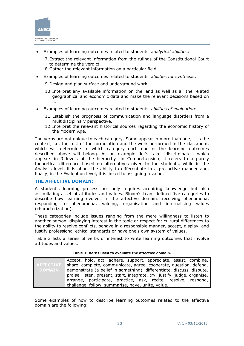

- Examples of learning outcomes related to students' *analytical abilities*:
	- 7.Extract the relevant information from the rulings of the Constitutional Court to determine the verdict.
	- 8.Gather the relevant information on a particular field.
- Examples of learning outcomes related to students' *abilities for synthesis*:

9.Design and plan surface and underground work.

- 10. Interpret any available information on the land as well as all the related geographical and economic data and make the relevant decisions based on it.
- Examples of learning outcomes related to students' *abilities of evaluation*:
	- 11.Establish the prognosis of communication and language disorders from a multidisciplinary perspective.
	- 12. Interpret the relevant historical sources regarding the economic history of the Modern Age.

The verbs are not unique to each category. Some appear in more than one; it is the context, i.e. the rest of the formulation and the work performed in the classroom, which will determine to which category each one of the learning outcomes described above will belong. As an example, let's take "discriminate", which appears in 3 levels of the hierarchy: in Comprehension, it refers to a purely theoretical difference based on alternatives given to the students, while in the Analysis level, it is about the ability to differentiate in a pro-active manner and, finally, in the Evaluation level, it is linked to assigning a value.

#### **THE AFFECTIVE DOMAIN:**

A student's learning process not only requires acquiring knowledge but also assimilating a set of attitudes and values. Bloom's team defined five categories to describe how learning evolves in the affective domain: receiving phenomena, responding to phenomena, valuing, organisation and internalising values (characterization).

These categories include issues ranging from the mere willingness to listen to another person, displaying interest in the topic or respect for cultural differences to the ability to resolve conflicts, behave in a responsible manner, accept, display, and justify professional ethical standards or have one's own system of values.

Table 3 lists a series of verbs of interest to write learning outcomes that involve attitudes and values.

|               | Accept, hold, act, adhere, support, appreciate, assist, combine,              |  |  |  |  |  |
|---------------|-------------------------------------------------------------------------------|--|--|--|--|--|
|               | AFFECTIVE   share, complete, communicate, agree, cooperate, question, defend, |  |  |  |  |  |
| <b>DOMAIN</b> | demonstrate (a belief in something), differentiate, discuss, dispute,         |  |  |  |  |  |
|               | praise, listen, present, start, integrate, try, justify, judge, organise,     |  |  |  |  |  |
|               | arrange, participate, practice, ask, recite, resolve, respond,                |  |  |  |  |  |
|               | challenge, follow, summarise, have, unite, value.                             |  |  |  |  |  |

**Table 3: Verbs used to evaluate the affective domain.**

Some examples of how to describe learning outcomes related to the affective domain are the following: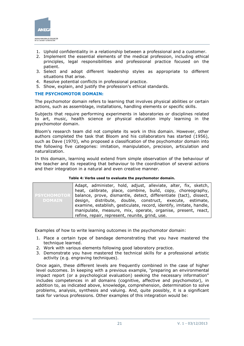

- 1. Uphold confidentiality in a relationship between a professional and a customer.
- 2. Implement the essential elements of the medical profession, including ethical principles, legal responsibilities and professional practice focused on the patient.
- 3. Select and adopt different leadership styles as appropriate to different situations that arise.
- 4. Resolve potential conflicts in professional practice.
- 5. Show, explain, and justify the profession's ethical standards.

#### **THE PSYCHOMOTOR DOMAIN:**

The psychomotor domain refers to learning that involves physical abilities or certain actions, such as assemblage, installations, handling elements or specific skills.

Subjects that require performing experiments in laboratories or disciplines related to art, music, health science or physical education imply learning in the psychomotor domain.

Bloom's research team did not complete its work in this domain. However, other authors completed the task that Bloom and his collaborators has started (1956), such as Dave (1970), who proposed a classification of the psychomotor domain into the following five categories: imitation, manipulation, precision, articulation and naturalization.

In this domain, learning would extend from simple observation of the behaviour of the teacher and its repeating that behaviour to the coordination of several actions and their integration in a natural and even creative manner.

#### **Table 4: Verbs used to evaluate the psychomotor domain.**

|               | Adapt, administer, hold, adjust, alleviate, alter, fix, sketch,                      |  |  |  |  |
|---------------|--------------------------------------------------------------------------------------|--|--|--|--|
|               | heat, calibrate, place, combine, build, copy, choreography,                          |  |  |  |  |
|               | <b>PEYCHOMOTOR</b> balance, prove, dismantle, detect, differentiate (tact), dissect, |  |  |  |  |
| <b>DOMAIN</b> | design, distribute, double, construct, execute, estimate,                            |  |  |  |  |
|               | examine, establish, gesticulate, record, identify, imitate, handle,                  |  |  |  |  |
|               | manipulate, measure, mix, operate, organise, present, react,                         |  |  |  |  |
|               | refine, repair, represent, reunite, grind, use.                                      |  |  |  |  |

Examples of how to write learning outcomes in the psychomotor domain:

- 1. Place a certain type of bandage demonstrating that you have mastered the technique learned.
- 2. Work with various elements following good laboratory practice.
- 3. Demonstrate you have mastered the technical skills for a professional artistic activity (e.g. engraving techniques).

Once again, these different levels are frequently combined in the case of higher level outcomes. In keeping with a previous example, "preparing an environmental impact report (or a psychological evaluation) seeking the necessary information" includes competences in all domains (cognitive, affective and psychomotor), in addition to, as indicated above, knowledge, comprehension, determination to solve problems, analysis, synthesis and valuing. And, quite possibly, it is a significant task for various professions. Other examples of this integration would be: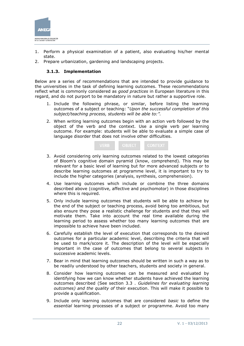

- 1. Perform a physical examination of a patient, also evaluating his/her mental state.
- <span id="page-21-0"></span>2. Prepare urbanization, gardening and landscaping projects.

#### **3.1.3. Implementation**

Below are a series of recommendations that are intended to provide guidance to the universities in the task of defining learning outcomes. These recommendations reflect what is commonly considered as *good practices* in European literature in this regard, and do not purport to be mandatory in nature but rather a supportive role.

- 1. Include the following phrase, or similar, before listing the learning outcomes of a subject or teaching: "*Upon the successful completion of this subject/teaching process, students will be able to:".*
- 2. When writing learning outcomes begin with an action verb followed by the object of the verb and the context. Use a single verb per learning outcome. For example: students will be able to evaluate a simple case of language disorder that does not involve other difficulties.

| <b>VERB</b> | OBJECT | <b>/CONTEXT</b> |
|-------------|--------|-----------------|
|-------------|--------|-----------------|

- 3. Avoid considering only learning outcomes related to the lowest categories of Bloom's cognitive domain pyramid (know, comprehend). This may be relevant for a basic level of learning but for more advanced subjects or to describe learning outcomes at programme level, it is important to try to include the higher categories (analysis, synthesis, comprehension).
- 4. Use learning outcomes which include or combine the three domains described above (cognitive, affective and psychomotor) in those disciplines where this is required.
- 5. Only include learning outcomes that students will be able to achieve by the end of the subject or teaching process, avoid being too ambitious, but also ensure they pose a realistic challenge for students and that they will motivate them. Take into account the real time available during the learning period to assess whether too many learning outcomes that are impossible to achieve have been included.
- 6. Carefully establish the level of execution that corresponds to the desired outcomes for a particular academic level, describing the criteria that will be used to mark/score it. The description of the level will be especially important in the case of outcomes that belong to several subjects in successive academic levels.
- 7. Bear in mind that learning outcomes should be written in such a way as to be readily understood by other teachers, students and society in general.
- 8. Consider how learning outcomes can be measured and evaluated by identifying how we can know whether students have achieved the learning outcomes described (See section 3.3 . *Guidelines for evaluating learning outcomes) and the quality of* their execution. This will make it possible to provide a qualification.
- 9. Include only learning outcomes that are considered *basic* to define the *essential* learning processes of a subject or programme. Avoid too many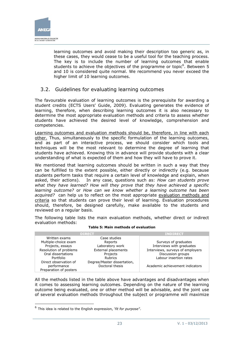

learning outcomes and avoid making their description too generic as, in these cases, they would cease to be a useful tool for the teaching process. The key is to include the number of learning outcomes that enable students to achieve the objectives of the programme or topic<sup>6</sup>. Between 5 and 10 is considered quite normal. We recommend you never exceed the higher limit of 10 learning outcomes.

### <span id="page-22-0"></span>3.2. Guidelines for evaluating learning outcomes

The favourable evaluation of learning outcomes is the prerequisite for awarding a student credits (ECTS Users' Guide, 2009). Evaluating generates the evidence of learning, therefore, when describing learning outcomes it is also necessary to determine the most appropriate evaluation methods and criteria to assess whether students have achieved the desired level of knowledge, comprehension and competencies.

Learning outcomes and evaluation methods should be, therefore, in line with each other. Thus, simultaneously to the specific formulation of the learning outcomes, and as part of an interactive process, we should consider which tools and techniques will be the most relevant to determine the degree of learning that students have achieved. Knowing this in advance will provide students with a clear understanding of what is expected of them and how they will have to prove it.

We mentioned that learning outcomes should be written in such a way that they can be fulfilled to the extent possible, either directly or indirectly (e.g. because students perform tasks that require a certain level of knowledge and explain, when asked, their actions). In any case, questions such as: *How can students prove what they have learned? How will they prove that they have achieved a specific learning outcome?* or *How can we know whether a learning outcome has been acquired?* can help us to reflect on the most appropriate evaluation methods and criteria so that students can prove their level of learning. Evaluation procedures should, therefore, be designed carefully, make available to the students and reviewed on a regular basis.

The following table lists the main evaluation methods, whether direct or indirect evaluation methods:

|                        | <b>DIRECT</b>               | <b>INDIRECT</b>                  |
|------------------------|-----------------------------|----------------------------------|
| Written exams          | Case studies                |                                  |
| Multiple-choice exam   | Reports                     | Surveys of graduates             |
| Projects, essays       | Laboratory work             | Interviews with graduates        |
| Resolution of problems | <b>External placements</b>  | Interviews, surveys of employers |
| Oral dissertations     | Projects                    | Discussion groups                |
| Portfolio              | <b>Rubrics</b>              | Labour insertion rates           |
| Direct observation of  | Degree/Master dissertation, |                                  |
| performance            | Doctoral thesis             | Academic achievement indicators  |
| Preparation of posters |                             |                                  |

#### **Table 5: Main methods of evaluation**

All the methods listed in the table above have advantages and disadvantages when it comes to assessing learning outcomes. Depending on the nature of the learning outcome being evaluated, one or other method will be advisable, and the joint use of several evaluation methods throughout the subject or programme will maximize

-

<sup>6</sup> This idea is related to the English expression, '*fit for purpose"*.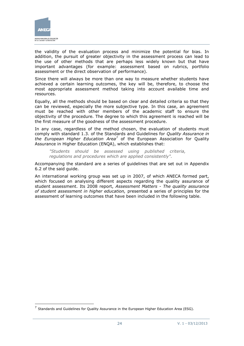

-

the validity of the evaluation process and minimize the potential for bias. In addition, the pursuit of greater objectivity in the assessment process can lead to the use of other methods that are perhaps less widely known but that have important advantages (for example: assessment based on rubrics, portfolio assessment or the direct observation of performance).

Since there will always be more than one way to measure whether students have achieved a certain learning outcomes, the key will be, therefore, to choose the most appropriate assessment method taking into account available time and resources.

Equally, all the methods should be based on clear and detailed criteria so that they can be reviewed, especially the more subjective type. In this case, an agreement must be reached with other members of the academic staff to ensure the objectivity of the procedure. The degree to which this agreement is reached will be the first measure of the goodness of the assessment procedure.

In any case, regardless of the method chosen, the evaluation of students must comply with standard 1.3. of the Standards and Guidelines for *Quality Assurance in the European Higher Education Area<sup>7</sup>* of the European Association for Quality Assurance in Higher Education (ENQA), which establishes that:

*"Students should be assessed using published criteria, regulations and procedures which are applied consistently".* 

Accompanying the standard are a series of guidelines that are set out in Appendix 6.2 of the said guide.

An international working group was set up in 2007, of which ANECA formed part, which focused on analysing different aspects regarding the quality assurance of student assessment. Its 2008 report, *Assessment Matters - The quality assurance of student assessment in higher education,* presented a series of principles for the assessment of learning outcomes that have been included in the following table.

 $<sup>7</sup>$  Standards and Guidelines for Quality Assurance in the European Higher Education Area (ESG).</sup>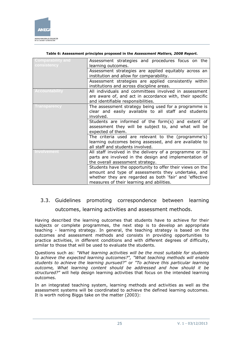

| <b>Comparability and</b><br><b>consistency</b> | Assessment strategies and procedures focus on the<br>learning outcomes.                                                                                                                                                 |  |  |  |  |  |
|------------------------------------------------|-------------------------------------------------------------------------------------------------------------------------------------------------------------------------------------------------------------------------|--|--|--|--|--|
|                                                | Assessment strategies are applied equitably across an<br>institution and allow for comparability.                                                                                                                       |  |  |  |  |  |
|                                                | Assessment strategies are applied consistently within<br>institutions and across discipline areas.                                                                                                                      |  |  |  |  |  |
| <b>Accountability</b>                          | All individuals and committees involved in assessment<br>are aware of, and act in accordance with, their specific<br>and identifiable responsibilities.                                                                 |  |  |  |  |  |
| <b>Transparency</b>                            | The assessment strategy being used for a programme is<br>clear and easily available to all staff and students<br>involved.                                                                                              |  |  |  |  |  |
|                                                | Students are informed of the form(s) and extent of<br>assessment they will be subject to, and what will be<br>expected of them.                                                                                         |  |  |  |  |  |
|                                                | The criteria used are relevant to the (programme's)<br>learning outcomes being assessed, and are available to<br>all staff and students involved.                                                                       |  |  |  |  |  |
| Involvement                                    | All staff involved in the delivery of a programme or its<br>parts are involved in the design and implementation of<br>the overall assessment strategy.                                                                  |  |  |  |  |  |
|                                                | Students have the opportunity to offer their views on the<br>amount and type of assessments they undertake, and<br>whether they are regarded as both 'fair' and 'effective<br>measures of their learning and abilities. |  |  |  |  |  |

#### **Table 6: Assessment principles proposed in the** *Assessment Matters, 2008 Report.*

# <span id="page-24-0"></span>3.3. Guidelines promoting correspondence between learning outcomes, learning activities and assessment methods.

Having described the learning outcomes that students have to achieve for their subjects or complete programmes, the next step is to develop an appropriate teaching - learning strategy. In general, the teaching strategy is based on the outcomes and assessment methods and consists in providing opportunities to practice activities, in different conditions and with different degrees of difficulty, similar to those that will be used to evaluate the students.

Questions such as: *"What learning activities will be the most suitable for students to achieve the expected learning outcomes?", "What teaching methods will enable students to achieve the learning pursued?"* or *"To achieve this particular learning outcome, What learning content should be addressed and how should it be structured?"* will help design learning activities that focus on the intended learning outcomes.

In an integrated teaching system, learning methods and activities as well as the assessment systems will be coordinated to achieve the defined learning outcomes. It is worth noting Biggs take on the matter (2003):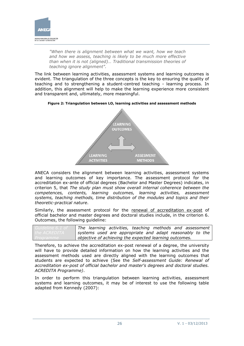

*"When there is alignment between what we want, how we teach and how we assess, teaching is likely to be much more effective than when it is not (aligned)… Traditional transmission theories of teaching ignore alignment".*

The link between learning activities, assessment systems and learning outcomes is evident. The triangulation of the three concepts is the key to ensuring the quality of teaching and to strengthening a student-centred teaching - learning process. In addition, this alignment will help to make the learning experience more consistent and transparent and, ultimately, more meaningful.





ANECA considers the alignment between learning activities, assessment systems and learning outcomes of key importance. The assessment protocol for the accreditation ex-ante of official degrees (Bachelor and Master Degrees) indicates, in criterion 5, that *The study plan must show overall internal coherence between the competences, contents, learning outcomes, learning activities, assessment systems, teaching methods, time distribution of the modules and topics and their theoretic-practical nature*.

Similarly, the assessment protocol for the renewal of accreditation ex-post of official bachelor and master degrees and doctoral studies include, in the criterion 6. Outcomes, the following guideline:

| The learning activities, teaching methods and assessment |  |  |  |
|----------------------------------------------------------|--|--|--|
| systems used are appropriate and adapt reasonably to the |  |  |  |
| objective of achieving the expected learning outcomes.   |  |  |  |

Therefore, to achieve the accreditation ex-post renewal of a degree, the university will have to provide detailed information on how the learning activities and the assessment methods used are directly aligned with the learning outcomes that students are expected to achieve (See the *Self-assessment Guide: Renewal of accreditation ex-post of official bachelor and master's degrees and doctoral studies. ACREDITA Programme)*.

In order to perform this triangulation between learning activities, assessment systems and learning outcomes, it may be of interest to use the following table adapted from Kennedy (2007):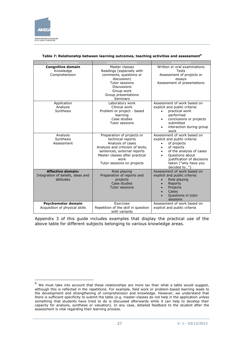

-

| Learning outcomes                                                          | earning activities                                                                                                                                                                                              | Assessment                                                                                                                                                                                                                                            |
|----------------------------------------------------------------------------|-----------------------------------------------------------------------------------------------------------------------------------------------------------------------------------------------------------------|-------------------------------------------------------------------------------------------------------------------------------------------------------------------------------------------------------------------------------------------------------|
| <b>Congnitive domain</b><br>Knowledge<br>Comprehension                     | Master classes<br>Readings (especially with<br>comments, questions or<br>discussion)<br>Tutor sessions<br><b>Discussions</b><br>Group work<br>Group presentations<br>Seminars                                   | Written or oral examinations<br><b>Tests</b><br>Assessment of projects or<br>essays<br>Assessment of presentations                                                                                                                                    |
| Application<br>Analysis<br>Synthesis                                       | Laboratory work<br>Clinical work<br>Problem or project - based<br>learning<br>Case studies<br>Tutor sessions                                                                                                    | Assessment of work based on<br>explicit and public criteria:<br>practical work<br>performed<br>conclusions or projects<br>٠<br>submitted<br>interaction during group<br>$\bullet$<br>work                                                             |
| Analysis<br>Synthesis<br>Assessment                                        | Preparation of projects or<br>technical reports<br>Analysis of cases<br>Analysis and criticism of texts,<br>sentences, external reports<br>Master classes after practical<br>work<br>Tutor sessions on projects | Assessment of work based on<br>explicit and public criteria:<br>of projects<br>of reports<br>$\bullet$<br>of the analysis of cases<br>$\bullet$<br>Questions about<br>$\bullet$<br>justification of decisions<br>taken ("why have you<br>decided to") |
| <b>Affective domain:</b><br>Integration of beliefs, ideas and<br>attitudes | Role playing<br>Preparation of reports and<br>projects<br>Case studies<br><b>Tutor sessions</b>                                                                                                                 | Assessment of work based on<br>explicit and public criteria:<br>Role playing<br>Reports<br>Projects<br>Cases<br>Questions in tutor<br>sessions                                                                                                        |
| Psychomotor domain<br>Acquisition of physical skills                       | Exercises<br>Repetition of the skill in question<br>with variants                                                                                                                                               | Assessment of work based on<br>explicit and public criteria                                                                                                                                                                                           |

#### **Table 7: Relationship between learning outcomes, teaching activities and assessment<sup>8</sup>**

Appendix 3 of this guide includes examples that display the practical use of the above table for different subjects belonging to various knowledge areas.

 $8$  We must take into account that these relationships are more lax than what a table would suggest, although this is reflected in the repetitions. For example, field work or problem-based learning leads to the development and strengthening of comprehension and knowledge. However, we understand that there is sufficient specificity to submit the table (e.g. master-classes do not help in the application unless something that students have tried to do is discussed afterwards while it can help to develop their capacity for analysis, synthesis or valuation). In any case, detailed feedback to the student after the assessment is vital regarding their learning process.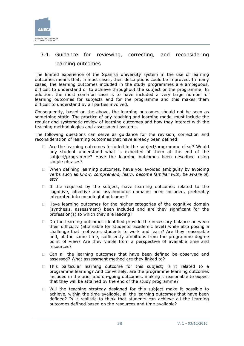

# <span id="page-27-0"></span>3.4. Guidance for reviewing, correcting, and reconsidering learning outcomes

The limited experience of the Spanish university system in the use of learning outcomes means that, in most cases, their descriptions could be improved. In many cases, the learning outcomes included in the study programmes are ambiguous, difficult to understand or to achieve throughout the subject or the programme. In addition, the most common case is to have included a very large number of learning outcomes for subjects and for the programme and this makes them difficult to understand by all parties involved.

Consequently, based on the above, the learning outcomes should not be seen as something static. The practice of any teaching and learning model must include the regular and systematic review of learning outcomes and how they interact with the teaching methodologies and assessment systems.

The following questions can serve as guidance for the revision, correction and reconsideration of learning outcomes that have already been defined:

- □ Are the learning outcomes included in the subject/programme clear? Would any student understand what is expected of them at the end of the subject/programme? Have the learning outcomes been described using simple phrases?
- $\Box$  When defining learning outcomes, have you avoided ambiguity by avoiding verbs such as *know, comprehend, learn, become familiar with, be aware of, etc?*
- $\Box$  If the required by the subject, have learning outcomes related to the cognitive, affective and psychomotor domains been included, preferably integrated into meaningful outcomes?
- $\Box$  Have learning outcomes for the higher categories of the cognitive domain (synthesis, assessment) been included and are they significant for the profession(s) to which they are leading?
- $\Box$  Do the learning outcomes identified provide the necessary balance between their difficulty (attainable for students' academic level) while also posing a challenge that motivates students to work and learn? Are they reasonable and, at the same time, sufficiently ambitious from the programme degree point of view? Are they viable from a perspective of available time and resources?
- □ Can all the learning outcomes that have been defined be observed and assessed? What assessment method are they linked to?
- $\Box$  This particular learning outcome for this subject; is it related to a programme learning? And conversely, are the programme learning outcomes included in the prior and on-going outcomes, making it reasonable to expect that they will be attained by the end of the study programme?
- $\Box$  Will the teaching strategy designed for this subject make it possible to achieve, within the time available, all the learning outcomes that have been defined? Is it realistic to think that students can achieve all the learning outcomes defined based on the resources and time available?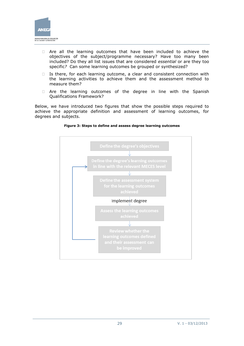

- □ Are all the learning outcomes that have been included to achieve the objectives of the subject/programme necessary? Have too many been included? Do they all list issues that are considered *essential* or are they too specific*?* Can some learning outcomes be grouped or synthesized?
- $\Box$  Is there, for each learning outcome, a clear and consistent connection with the learning activities to achieve them and the assessment method to measure them?
- Are the learning outcomes of the degree in line with the Spanish Qualifications Framework?

Below, we have introduced two figures that show the possible steps required to achieve the appropriate definition and assessment of learning outcomes, for degrees and subjects.



#### **Figure 3: Steps to define and assess degree learning outcomes**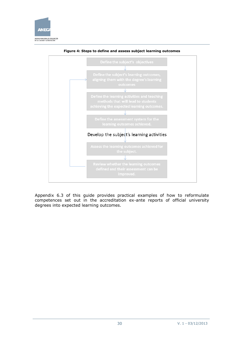



**Figure 4: Steps to define and assess subject learning outcomes**

Appendix 6.3 of this guide provides practical examples of how to reformulate competences set out in the accreditation ex-ante reports of official university degrees into expected learning outcomes.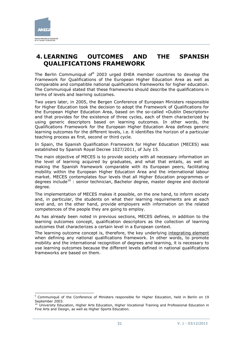

-

# <span id="page-30-0"></span>**4. LEARNING OUTCOMES AND THE SPANISH QUALIFICATIONS FRAMEWORK**

The Berlin Communiqué of  $9$  2003 urged EHEA member countries to develop the Framework for Qualifications of the European Higher Education Area as well as comparable and compatible national qualifications frameworks for higher education. The Communiqué stated that these frameworks should describe the qualifications in terms of levels and learning outcomes.

Two years later, in 2005, the Bergen Conference of European Ministers responsible for Higher Education took the decision to adopt the Framework of Qualifications for the European Higher Education Area, based on the so-called «Dublin Descriptors» and that provides for the existence of three cycles, each of them characterized by using generic descriptors based on learning outcomes. In other words, the Qualifications Framework for the European Higher Education Area defines generic learning outcomes for the different levels, i.e. it identifies the horizon of a particular teaching process as first, second or third cycle.

In Spain, the Spanish Qualification Framework for Higher Education (MECES) was established by Spanish Royal Decree 1027/2011, of July 15.

The main objective of MECES is to provide society with all necessary information on the level of learning acquired by graduates, and what that entails, as well as making the Spanish framework comparable with its European peers, facilitating mobility within the European Higher Education Area and the international labour market. MECES contemplates four levels that all Higher Education programmes or degrees include $^{10}$  : senior technician, Bachelor degree, master degree and doctoral degree.

The implementation of MECES makes it possible, on the one hand, to inform society and, in particular, the students on what their learning requirements are at each level and, on the other hand, provide employers with information on the related competences of the people they are going to employ.

As has already been noted in previous sections, MECES defines, in addition to the learning outcomes concept, qualification descriptors as the collection of learning outcomes that characterizes a certain level in a European context.

The learning outcome concept is, therefore, the key underlying integrating element when defining any national qualifications framework. In other words, to promote mobility and the international recognition of degrees and learning, it is necessary to use learning outcomes because the different levels defined in national qualifications frameworks are based on them.

<sup>&</sup>lt;sup>9</sup> Communiqué of the Conference of Ministers responsible for Higher Education, held in Berlin on 19 September 2003.

<sup>&</sup>lt;sup>10</sup> University Education, Higher Arts Education, Higher Vocational Training and Professional Education in Fine Arts and Design, as well as Higher Sports Education.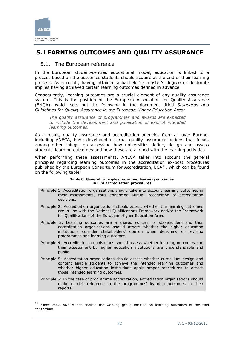

-

# <span id="page-31-0"></span>**5. LEARNING OUTCOMES AND QUALITY ASSURANCE**

### <span id="page-31-1"></span>5.1. The European reference

In the European student-centred educational model, education is linked to a process based on the outcomes students should acquire at the end of their learning process. As a result, having attained a bachelor's- master's degree or doctorate implies having achieved certain learning outcomes defined in advance.

Consequently, learning outcomes are a crucial element of any quality assurance system. This is the position of the European Association for Quality Assurance (ENQA), which sets out the following in the document titled *Standards and Guidelines for Quality Assurance in the European Higher Education Area*:

*The quality assurance of programmes and awards are expected to include the development and publication of explicit intended learning outcomes.* 

As a result, quality assurance and accreditation agencies from all over Europe, including ANECA, have developed external quality assurance actions that focus, among other things, on assessing how universities define, design and assess students' learning outcomes and how these are aligned with the learning activities.

When performing these assessments, ANECA takes into account the general principles regarding learning outcomes in the accreditation ex-post procedures published by the European Consortium for Accreditation,  $ECA<sup>11</sup>$ , which can be found on the following table:

#### **Table 8: General principles regarding learning outcomes in ECA accreditation procedures**

- Principle 1: Accreditation organisations should take into account learning outcomes in their assessments, thus enhancing Mutual Recognition of accreditation decisions.
- Principle 2: Accreditation organisations should assess whether the learning outcomes are in line with the National Qualifications Framework and/or the Framework for Qualifications of the European Higher Education Area.
- Principle 3: Learning outcomes are a shared concern of stakeholders and thus accreditation organisations should assess whether the higher education institutions consider stakeholders' opinion when designing or revising programmes and learning outcomes.
- Principle 4: Accreditation organisations should assess whether learning outcomes and their assessment by higher education institutions are understandable and public.
- Principle 5: Accreditation organisations should assess whether curriculum design and content enable students to achieve the intended learning outcomes and whether higher education institutions apply proper procedures to assess those intended learning outcomes.
- Principle 6: In the case of programme accreditation, accreditation organisations should make explicit reference to the programmes' learning outcomes in their reports.

 $11$  Since 2008 ANECA has chaired the working group focused on learning outcomes of the said consortium.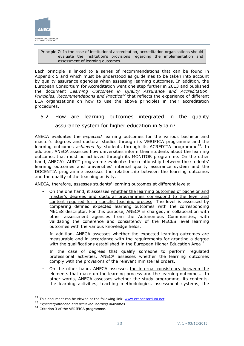

#### Principle 7: In the case of institutional accreditation, accreditation organisations should evaluate the institution's provisions regarding the implementation and assessment of learning outcomes.

Each principle is linked to a series of recommendations that can be found in Appendix 5 and which must be understood as guidelines to be taken into account by quality assurance agencies when assessing learning outcomes. In addition, the European Consortium for Accreditation went one step further in 2013 and published the document *Learning Outcomes in Quality Assurance and Accreditation. Principles, Recommendations and Practice<sup>12</sup>* that reflects the experience of different ECA organizations on how to use the above principles in their accreditation procedures.

<span id="page-32-0"></span>5.2. How are learning outcomes integrated in the quality assurance system for higher education in Spain?

ANECA evaluates the *expected* learning outcomes for the various bachelor and master's degrees and doctoral studies through its VERIFICA programme and the learning outcomes *achieved by* students through its ACREDITA programme<sup>13</sup>. In addition, ANECA assesses how universities inform their students about the learning outcomes that must be achieved through its MONITOR programme. On the other hand, ANECA's AUDIT programme evaluates the relationship between the students' learning outcomes and universities' internal quality assurance system and the DOCENTIA programme assesses the relationship between the learning outcomes and the quality of the teaching activity.

ANECA, therefore, assesses students' learning outcomes at different levels:

- On the one hand, it assesses whether the learning outcomes of bachelor and master's degrees and doctoral programmes correspond to the level and content required for a specific teaching process. The level is assessed by comparing defined expected learning outcomes with the corresponding MECES descriptor. For this purpose, ANECA is charged, in collaboration with other assessment agencies from the Autonomous Communities, with validating the coherence and consistency of the MECES level learning outcomes with the various knowledge fields.

In addition, ANECA assesses whether the expected learning outcomes are measurable and in accordance with the requirements for granting a degree with the qualifications established in the European Higher Education Area $^{14}$ .

In the case of degrees that qualify someone to perform regulated professional activities, ANECA assesses whether the learning outcomes comply with the provisions of the relevant ministerial orders.

- On the other hand, ANECA assesses the internal consistency between the elements that make up the learning process and the learning outcomes. In other words, ANECA assesses whether the study programme, its contents, the learning activities, teaching methodologies, assessment systems, the

-

<sup>&</sup>lt;sup>12</sup> This document can be viewed at the following link: [www.ecaconsortium.net](http://www.ecaconsortium.net/)

<sup>13</sup> *Expected/intended and achieved learning outcomes*.

<sup>&</sup>lt;sup>14</sup> Criterion 3 of the VERIFICA programme.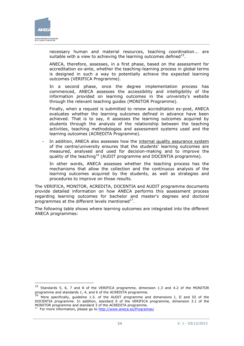

-

necessary human and material resources, teaching coordination... are suitable with a view to achieving the learning outcomes defined $15$ .

ANECA, therefore, assesses, in a first phase, based on the assessment for accreditation ex-ante, whether the teaching-learning process in global terms is designed in such a way to potentially achieve the expected learning outcomes (VERIFICA Programme).

In a second phase, once the degree implementation process has commenced, ANECA assesses the accessibility and intelligibility of the information provided on learning outcomes in the university's website through the relevant teaching guides (MONITOR Programme).

Finally, when a request is submitted to renew accreditation ex-post, ANECA evaluates whether the learning outcomes defined in advance have been achieved. That is to say, it assesses the learning outcomes acquired by students through the analysis of the relationship between the teaching activities, teaching methodologies and assessment systems used and the learning outcomes (ACREDITA Programme).

In addition, ANECA also assesses how the internal quality assurance system of the centre/university ensures that the students' learning outcomes are measured, analysed and used for decision-making and to improve the quality of the teaching<sup>16</sup> (AUDIT programme and DOCENTIA programme).

In other words, ANECA assesses whether the teaching process has the mechanisms that allow the collection and the continuous analysis of the learning outcomes acquired by the students, as well as strategies and procedures to improve on those results.

The VERIFICA, MONITOR, ACREDITA, DOCENTIA and AUDIT programme documents provide detailed information on how ANECA performs this assessment process regarding learning outcomes for bachelor and master's degrees and doctoral programmes at the different levels mentioned $^{17}$ .

The following table shows where learning outcomes are integrated into the different ANECA programmes:

<sup>15</sup> Standards 5, 6, 7 and 8 of the VERIFICA programme, dimension 1.3 and 4.2 of the MONITOR programme and standards 1, 4, and 6 of the ACREDITA programme.

 $16$  More specifically, guideline 1.5. of the AUDIT programme and dimensions I, II and III of the DOCENTIA programme. In addition, standard 9 of the VERIFICA programme, dimension 3.1 of the MONITOR programme and standard 3 of the ACREDITA programme.

<sup>&</sup>lt;sup>17</sup> For more information, please go to<http://www.aneca.es/Programas/>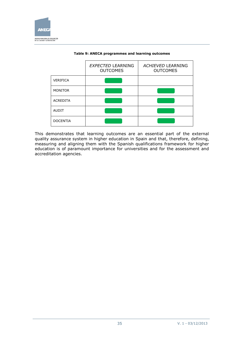

|                 | <b>EXPECTED LEARNING</b><br><b>OUTCOMES</b> | <b>ACHIEVED LEARNING</b><br><b>OUTCOMES</b> |
|-----------------|---------------------------------------------|---------------------------------------------|
| <b>VERIFICA</b> |                                             |                                             |
| <b>MONITOR</b>  |                                             |                                             |
| <b>ACREDITA</b> |                                             |                                             |
| <b>AUDIT</b>    |                                             |                                             |
| <b>DOCENTIA</b> |                                             |                                             |

#### **Table 9: ANECA programmes and learning outcomes**

This demonstrates that learning outcomes are an essential part of the external quality assurance system in higher education in Spain and that, therefore, defining, measuring and aligning them with the Spanish qualifications framework for higher education is of paramount importance for universities and for the assessment and accreditation agencies.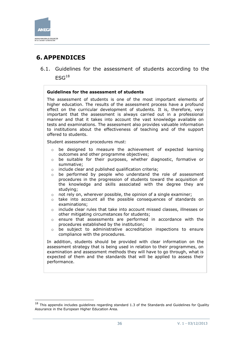

-

# <span id="page-35-0"></span>**6. APPENDICES**

<span id="page-35-1"></span>6.1. Guidelines for the assessment of students according to the  $ESG<sup>18</sup>$ 

#### **Guidelines for the assessment of students**

The assessment of students is one of the most important elements of higher education. The results of the assessment process have a profound effect on the curricular development of students. It is, therefore, very important that the assessment is always carried out in a professional manner and that it takes into account the vast knowledge available on tests and examinations. The assessment also provides valuable information to institutions about the effectiveness of teaching and of the support offered to students.

Student assessment procedures must:

- o be designed to measure the achievement of expected learning outcomes and other programme objectives;
- o be suitable for their purposes, whether diagnostic, formative or summative;
- o include clear and published qualification criteria;
- o be performed by people who understand the role of assessment procedures in the progression of students toward the acquisition of the knowledge and skills associated with the degree they are studying;
- o not rely on, wherever possible, the opinion of a single examiner;
- $\circ$  take into account all the possible consequences of standards on examinations;
- o include clear rules that take into account missed classes, illnesses or other mitigating circumstances for students;
- o ensure that assessments are performed in accordance with the procedures established by the institution;
- $\circ$  be subject to administrative accreditation inspections to ensure compliance with the procedures.

In addition, students should be provided with clear information on the assessment strategy that is being used in relation to their programmes, on examination and assessment methods they will have to go through, what is expected of them and the standards that will be applied to assess their performance.

 $18$  This appendix includes guidelines regarding standard 1.3 of the Standards and Guidelines for Quality Assurance in the European Higher Education Area.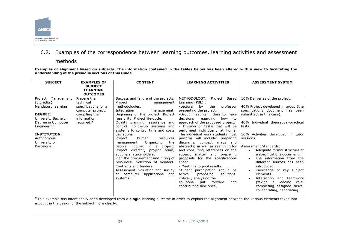

### 6.2. Examples of the correspondence between learning outcomes, learning activities and assessment

methods

**Examples of alignment based on subjects. The information contained in the tables below has been altered with a view to facilitating the understanding of the previous sections of this Guide.**

| <b>SUBJECT</b>                                                                                                                                                                                              | <b>EXAMPLES OF</b>                                                                                                  | <b>CONTENT</b>                                                                                                                                                                                                                                                                                                                                                                                                                                                                                                                                                                                                                                                                          | <b>LEARNING ACTIVITIES</b>                                                                                                                                                                                                                                                                                                                                                                                                                                                                                                                                                                                                                                                                                                                                                     | <b>ASSESSMENT SYSTEM</b>                                                                                                                                                                                                                                                                                                                                                                                                                                                                                                                                                                              |
|-------------------------------------------------------------------------------------------------------------------------------------------------------------------------------------------------------------|---------------------------------------------------------------------------------------------------------------------|-----------------------------------------------------------------------------------------------------------------------------------------------------------------------------------------------------------------------------------------------------------------------------------------------------------------------------------------------------------------------------------------------------------------------------------------------------------------------------------------------------------------------------------------------------------------------------------------------------------------------------------------------------------------------------------------|--------------------------------------------------------------------------------------------------------------------------------------------------------------------------------------------------------------------------------------------------------------------------------------------------------------------------------------------------------------------------------------------------------------------------------------------------------------------------------------------------------------------------------------------------------------------------------------------------------------------------------------------------------------------------------------------------------------------------------------------------------------------------------|-------------------------------------------------------------------------------------------------------------------------------------------------------------------------------------------------------------------------------------------------------------------------------------------------------------------------------------------------------------------------------------------------------------------------------------------------------------------------------------------------------------------------------------------------------------------------------------------------------|
|                                                                                                                                                                                                             | <b>SUBJECT</b><br><b>LEARNING</b><br><b>OUTCOMES</b>                                                                |                                                                                                                                                                                                                                                                                                                                                                                                                                                                                                                                                                                                                                                                                         |                                                                                                                                                                                                                                                                                                                                                                                                                                                                                                                                                                                                                                                                                                                                                                                |                                                                                                                                                                                                                                                                                                                                                                                                                                                                                                                                                                                                       |
| Management<br>Project<br>(6 credits)<br>Mandatory learning<br><b>DEGREE:</b><br>University Bachelor<br>Degree in Computer<br>Engineering<br><b>INSTITUTION:</b><br>Autonomous<br>University of<br>Barcelona | Prepare the<br>technical<br>specifications for a<br>computer project,<br>compiling the<br>information<br>required.* | Success and failure of the projects.<br>Project<br>management<br>methodologies.<br>Integration<br>management.<br>Beginning of the project. Project<br>feasibility. Project life-cycle.<br>Quality planning, assurance and<br>control. Follow-up systems and<br>systems to control time and costs<br>deviations.<br>Project<br>human<br>resources<br>Organizing<br>the<br>management.<br>involved in a<br>people<br>project:<br>Project<br>director, project<br>team,<br>suppliers, stakeholders.<br>Plan the procurement and hiring of<br>resources. Selection of vendors.<br>Contracts and tenders.<br>Assessment, valuation and survey<br>of computer applications<br>and<br>systems. | METHODOLOGY:<br>Project<br>Based<br>Learning (PBL) :<br>-Lecture<br>by<br>the<br>professor<br>presenting the project.<br>-Group meeting in class to make<br>decisions<br>regarding<br>how<br>to<br>approach of the proposed project.<br>- Division of tasks that will be<br>performed individually at home.<br>The individual work students must<br>perform will include: preparing<br>diagrams, concept maps and<br>abstracts; as well as searching for<br>and consulting references on the<br>subject matter and preparing<br>proposals for the specifications<br>sheet.<br>- Meetings to pool results.<br>Student participation should be<br>active,<br>proposing<br>solutions,<br>critically analysing the<br>solutions<br>put<br>forward<br>and<br>contributing new ones. | 10% Deliveries of the project.<br>40% Project developed in group (the<br>specifications document has been<br>submitted, in this case).<br>40% Individual theoretical-practical<br>tests.<br>10% Activities developed in tutor<br>sessions.<br><b>Assessment Standards:</b><br>Adequate formal structure of<br>$\bullet$<br>a specifications document.<br>The information from the<br>different sources has been<br>introduced.<br>Knowledge of key subject<br>elements.<br>Interaction<br>and teamwork<br>leading<br>(taking a<br>role,<br>completing assigned tasks,<br>collaborating, negotiating). |

<span id="page-36-0"></span>\*This example has intentionally been developed from a **single** learning outcome in order to explain the alignment between the various elements taken into account in the design of the subject more clearly.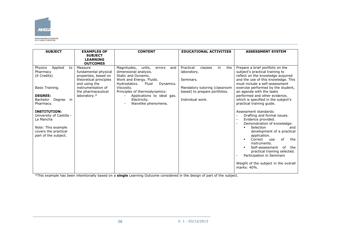

| <b>SUBJECT</b>                                                                                                                                                                                                                                                       | <b>EXAMPLES OF</b><br><b>SUBJECT</b>                                                                                                                           | <b>CONTENT</b>                                                                                                                                                                                                                                                                | <b>EDUCATIONAL ACTIVITIES</b>                                                                                                                       | <b>ASSESSMENT SYSTEM</b>                                                                                                                                                                                                                                                                                                                                                                                                                                                                                                                                                                                                                                                                                                                                                                                                     |
|----------------------------------------------------------------------------------------------------------------------------------------------------------------------------------------------------------------------------------------------------------------------|----------------------------------------------------------------------------------------------------------------------------------------------------------------|-------------------------------------------------------------------------------------------------------------------------------------------------------------------------------------------------------------------------------------------------------------------------------|-----------------------------------------------------------------------------------------------------------------------------------------------------|------------------------------------------------------------------------------------------------------------------------------------------------------------------------------------------------------------------------------------------------------------------------------------------------------------------------------------------------------------------------------------------------------------------------------------------------------------------------------------------------------------------------------------------------------------------------------------------------------------------------------------------------------------------------------------------------------------------------------------------------------------------------------------------------------------------------------|
|                                                                                                                                                                                                                                                                      | <b>LEARNING</b><br><b>OUTCOMES</b>                                                                                                                             |                                                                                                                                                                                                                                                                               |                                                                                                                                                     |                                                                                                                                                                                                                                                                                                                                                                                                                                                                                                                                                                                                                                                                                                                                                                                                                              |
| Applied<br>Physics<br>to<br>Pharmacy<br>(6 Credits)<br>Basic Training.<br><b>DEGREE:</b><br>Bachelor<br>Degree in<br>Pharmacy.<br><b>INSTITUTION:</b><br>University of Castilla -<br>La Mancha<br>Note: This example<br>covers the practical<br>part of the subject. | Measure<br>fundamental physical<br>properties, based on<br>theoretical principles<br>and using the<br>instrumentation of<br>the pharmaceutical<br>laboratory.* | Magnitudes,<br>units.<br>errors<br>and<br>dimensional analysis.<br>Static and Dynamic.<br>Work and Energy. Fluids.<br>Hydrostatics.<br>Fluid<br>Dynamics.<br>Viscosity.<br>Principles of thermodynamics:<br>Applications to ideal gas.<br>Electricity.<br>Wavelike phenomena. | Practical<br>the<br>classes<br>in<br>laboratory.<br>Seminars.<br>Mandatory tutoring (classroom<br>based) to prepare portfolios.<br>Individual work. | Prepare a brief portfolio on the<br>subject's practical training to<br>reflect on the knowledge acquired<br>and the use of this knowledge. This<br>must include a self-assessment<br>exercise performed by the student,<br>an agenda with the tasks<br>performed and other evidence,<br>which is specified in the subject's<br>practical training quide.<br>Assessment standards:<br>Drafting and formal issues.<br>$\overline{\phantom{a}}$<br>Evidence provided.<br>Demonstration of knowledge:<br>Selection<br>$\blacksquare$<br>and<br>development of a practical<br>application.<br>of<br>Correct<br>the<br>$\blacksquare$<br>use<br>instruments.<br>Self-assessment<br>of<br>the<br>$\blacksquare$<br>practical training selected.<br>Participation in Seminars<br>Weight of the subject in the overall<br>marks: 40%. |

\*This example has been intentionally based on a **single** Learning Outcome considered in the design of part of the subject.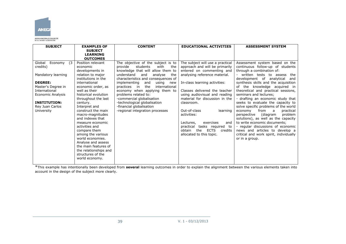

AGENCIA NACIONAL DE EVALUACIÓN<br>DE LA CALIDAD Y ACREDITACIÓN

| <b>SUBJECT</b>          | <b>EXAMPLES OF</b>                  | <b>CONTENT</b>                          | <b>EDUCATIONAL ACTIVITIES</b>           | <b>ASSESSMENT SYSTEM</b>                                   |
|-------------------------|-------------------------------------|-----------------------------------------|-----------------------------------------|------------------------------------------------------------|
|                         | <b>SUBJECT</b>                      |                                         |                                         |                                                            |
|                         | <b>LEARNING</b>                     |                                         |                                         |                                                            |
|                         | <b>OUTCOMES</b>                     |                                         |                                         |                                                            |
| Global<br>Economy<br>(3 | Position relevant                   | The objective of the subject is to      | The subject will use a practical        | Assessment system based on the                             |
| credits)                | economic                            | students<br>with<br>the<br>provide      | approach and will be primarily          | continuous follow-up of students                           |
|                         | developments in                     | knowledge that will allow them to       | entered on commenting and               | through a combination of:                                  |
| Mandatory learning      | relation to major                   | understand<br>and<br>analyse<br>the     | analysing reference material.           | written tests to assess<br>the                             |
|                         | institutions in the                 | characteristics and consequences of     |                                         | development of analytical<br>and                           |
| <b>DEGREE:</b>          | international                       | implementing<br>and<br>using<br>new     | In-class learning activities:           | synthesis skills and the acquisition                       |
| Master's Degree in      | economic order, as                  | the<br>practices<br>international<br>in |                                         | of the knowledge acquired in                               |
| International           | well as their                       | economy when applying them to           | Classes delivered the teacher           | theoretical and practical sessions,                        |
| Economic Analysis       | historical evolution                | problems related to:                    | using audiovisual and reading           | seminars and lectures;                                     |
|                         | throughout the last                 | -commercial globalisation               | material for discussion in the          | - drafting an economic study that                          |
| <b>INSTITUTION:</b>     | century.                            | -technological globalisation            | classroom.                              | seeks to evaluate the capacity to                          |
| Rey Juan Carlos         | Interpret and<br>construct the main | -financial globalisation                | Out-of-class<br>learning                | solve specific problems of the world<br>from<br>a a        |
| University              | macro-magnitudes                    | -regional integration processes         | activities:                             | economy<br>practical<br>perspective<br>(diagram<br>problem |
|                         | and indexes that                    |                                         |                                         | solutions), as well as the capacity                        |
|                         | measure economic                    |                                         | exercises<br>Lectures.<br>and           | to write economic documents;                               |
|                         | activities and                      |                                         | tasks required to<br>practical          | - regular discussions of economic                          |
|                         | compare them                        |                                         | <b>ECTS</b><br>the<br>obtain<br>credits | news and articles to develop a                             |
|                         | among the various                   |                                         | allocated to this topic.                | critical and work spirit, individually                     |
|                         | world economies.                    |                                         |                                         | or in a group.                                             |
|                         | Analyse and assess                  |                                         |                                         |                                                            |
|                         | the main features of                |                                         |                                         |                                                            |
|                         | the relationships and               |                                         |                                         |                                                            |
|                         | structures of the                   |                                         |                                         |                                                            |
|                         | world economy.                      |                                         |                                         |                                                            |
|                         |                                     |                                         |                                         |                                                            |

\*This example has intentionally been developed from **several** learning outcomes in order to explain the alignment between the various elements taken into account in the design of the subject more clearly.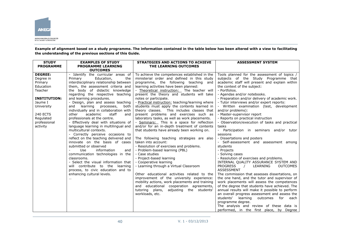

**Example of alignment based on a study programme. The information contained in the table below has been altered with a view to facilitating the understanding of the previous sections of this Guide.**

| <b>STUDY</b><br><b>PROGRAMME</b> | <b>EXAMPLES OF STUDY</b><br><b>PROGRAMME LEARNING</b>                           | <b>STRATEGIES AND ACTIONS TO ACHIEVE</b><br>THE LEARNING OUTCOMES                         | <b>ASSESSMENT SYSTEM</b>                                      |
|----------------------------------|---------------------------------------------------------------------------------|-------------------------------------------------------------------------------------------|---------------------------------------------------------------|
|                                  | <b>OUTCOMES</b>                                                                 |                                                                                           |                                                               |
| <b>DEGREE:</b>                   | - Identify the curricular areas of                                              | To achieve the competences established in the                                             | Tools planned for the assessment of topics /                  |
| Degree in                        | the<br>Primary<br>Education,                                                    | ministerial order and defined in this study                                               | subjects of the Study Programme that                          |
| Primary                          | interdisciplinary relationship between                                          | programme, the following teaching and                                                     | academic staff will present and explain within                |
| Education                        | them, the assessment criteria and                                               | learning activities have been planned:                                                    | the context of the subject:                                   |
| Teacher                          | the body of didactic knowledge                                                  | - Theoretical instruction: The teacher will                                               | - Portfolios.                                                 |
|                                  | regarding the respective teaching                                               | present the theory and students will take                                                 | - Agendas and/or notebooks.                                   |
| <b>INSTITUTION:</b>              | and learning procedures.                                                        | notes or participate.                                                                     | - Preparation and/or delivery of academic work.               |
| Jaume I                          | - Design, plan and assess teaching                                              | - Practical instruction: teaching/learning where                                          | - Tutor interviews and/or expert reports:                     |
| University                       | and<br>learning<br>processes,<br>both<br>individually and in collaboration with | students must apply the contents learned in<br>theory classes. This includes classes that | - Written examination (test, development<br>and/or problems): |
| <b>240 ECTS</b>                  | other<br>academic<br>staff<br>and                                               | present problems and exercises such as                                                    | - Master-supervisor report                                    |
| Regulated                        | professionals at the centre.                                                    | laboratory tasks, as well as work placements.                                             | - Reports on practical instruction                            |
| professional                     | - Effectively deal with situations of                                           | - Seminars: This is a space for reflection                                                | - Observation/execution of tasks and practical                |
| activity                         | language learning in multilingual and                                           | and/or for an in-depth treatment of contents                                              | tasks                                                         |
|                                  | multicultural contexts.                                                         | that students have already been working on.                                               | Participation in seminars and/or tutor                        |
|                                  | - Correctly perceive occasions to                                               |                                                                                           | sessions                                                      |
|                                  | reflect on the teaching delivered and                                           | The following teaching strategies are also                                                | - Dissertations and posters                                   |
|                                  | innovate on the basis of cases                                                  | taken into account:                                                                       | - Self-assessment and assessment among                        |
|                                  | submitted or observed                                                           | - Resolution of exercises and problems.                                                   | students                                                      |
|                                  | information<br>Use<br>and                                                       | - Problem-based learning (PBL)                                                            | - Projects                                                    |
|                                  | communication technologies in the                                               | - Case studies                                                                            | - Solving cases                                               |
|                                  | classrooms.                                                                     | - Project-based learning                                                                  | - Resolution of exercises and problems.                       |
|                                  | - Select the visual information that                                            | - Cooperative learning                                                                    | INTERNAL QUALITY ASSURANCE SYSTEM AND                         |
|                                  | will contribute to the learning                                                 | - Learning through a Virtual Classroom                                                    | <b>PROGRESS</b><br>LEARNING<br><b>OUTCOMES</b><br>$\sqrt{ }$  |
|                                  | process, to civic education and to                                              |                                                                                           | <b>ASSESSMENT</b>                                             |
|                                  | enhancing cultural levels.                                                      | Other educational activities related to the                                               | The commission that assesses dissertations, on                |
|                                  | $\cdots$                                                                        | improvement of the university experience:                                                 | the one hand, and the tutor and supervisor of                 |
|                                  |                                                                                 | mobility actions, work placements and training                                            | work placements will assess the competences                   |
|                                  |                                                                                 | and educational cooperation agreements,                                                   | of the degree that students have achieved. The                |
|                                  |                                                                                 | adjusting the students'<br>tutoring plans,                                                | annual results will make it possible to perform               |
|                                  |                                                                                 | workloads, etc.                                                                           | an overall progress assessment and assess the                 |
|                                  |                                                                                 |                                                                                           | students' learning<br>outcomes<br>for each                    |
|                                  |                                                                                 |                                                                                           | programme degree.                                             |
|                                  |                                                                                 |                                                                                           | The analysis and review of these data is                      |
|                                  |                                                                                 |                                                                                           | performed, in the first place, by Degree                      |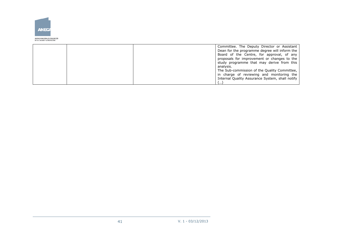

.<br>AGENCIA NACIONAL DE EVALUACIÓN<br>DE LA CALIDAD Y ACREDITACIÓN

|  | Committee. The Deputy Director or Assistant<br>Dean for the programme degree will inform the |
|--|----------------------------------------------------------------------------------------------|
|  | Board of the Centre, for approval, of any                                                    |
|  | proposals for improvement or changes to the<br>study programme that may derive from this     |
|  | analysis.                                                                                    |
|  | The Sub-commission of the Quality Committee,<br>in charge of reviewing and monitoring the    |
|  | Internal Quality Assurance System, shall notify                                              |
|  | .                                                                                            |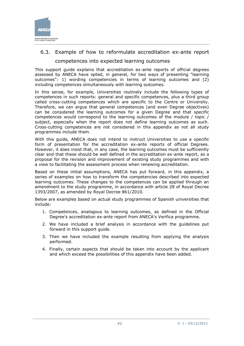

# <span id="page-41-0"></span>6.3. Example of how to reformulate accreditation ex-ante report

competences into expected learning outcomes

This support guide explains that accreditation ex-ante reports of official degrees assessed by ANECA have opted, in general, for two ways of presenting "learning outcomes": 1) wording competencies in terms of learning outcomes and (2) including competences simultaneously with learning outcomes.

In this sense, for example, Universities routinely include the following types of competences in such reports: general and specific competences, plus a third group called cross-cutting competences which are specific to the Centre or University. Therefore, we can argue that general competences (and even Degree objectives) can be considered the learning outcomes for a given Degree and that specific competences would correspond to the learning outcomes of the module / topic / subject, especially when the report does not define learning outcomes as such. Cross-cutting competences are not considered in this appendix as not all study programmes include them.

With this guide, ANECA does not intend to instruct Universities to use a specific form of presentation for the accreditation ex-ante reports of official Degrees. However, it does insist that, in any case, the learning outcomes must be sufficiently clear and that these should be well defined in the accreditation ex-ante report, as a proposal for the revision and improvement of existing study programmes and with a view to facilitating the assessment process when renewing accreditation.

Based on these initial assumptions, ANECA has put forward, in this appendix, a series of examples on how to transform the competencies described into expected learning outcomes. These changes to the competences can be applied through an amendment to the study programme, in accordance with article 28 of Royal Decree 1393/2007, as amended by Royal Decree 861/2010.

Below are examples based on actual study programmes of Spanish universities that include:

- 1. Competences, analogous to learning outcomes, as defined in the Official Degree's accreditation ex-ante report from ANECA's Verifica programme.
- 2. We have included a brief analysis in accordance with the guidelines put forward in this support guide.
- 3. Then we have included the example resulting from applying the analysis performed.
- 4. Finally, certain aspects that should be taken into account by the applicant and which exceed the possibilities of this appendix have been added.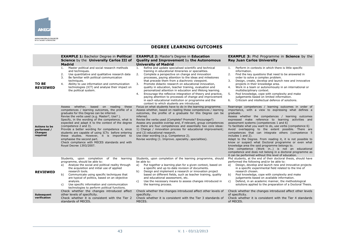

#### **DEGREE LEARNING OUTCOMES**

|                                                                   | <b>EXAMPLE 1: Bachelor Degree in Political</b><br>Science by the University Carlos III of<br><b>Madrid</b>                                                                                                                                                                                                                                                                                                                                                                                                                                                                                            | <b>EXAMPLE 2: Master's Degree in Education</b><br><b>Quality and Improvement by the Autonomous</b><br><b>University of Madrid</b>                                                                                                                                                                                                                                                                                                                                                                                                                                                                                                                                                                                     | <b>EXAMPLE 3:</b> Phd Programme in <b>Science</b> by the<br><b>Rey Juan Carlos University</b>                                                                                                                                                                                                                                                                                                                                                                                                                                                                                                                                                                                                                                                                                                                                         |
|-------------------------------------------------------------------|-------------------------------------------------------------------------------------------------------------------------------------------------------------------------------------------------------------------------------------------------------------------------------------------------------------------------------------------------------------------------------------------------------------------------------------------------------------------------------------------------------------------------------------------------------------------------------------------------------|-----------------------------------------------------------------------------------------------------------------------------------------------------------------------------------------------------------------------------------------------------------------------------------------------------------------------------------------------------------------------------------------------------------------------------------------------------------------------------------------------------------------------------------------------------------------------------------------------------------------------------------------------------------------------------------------------------------------------|---------------------------------------------------------------------------------------------------------------------------------------------------------------------------------------------------------------------------------------------------------------------------------------------------------------------------------------------------------------------------------------------------------------------------------------------------------------------------------------------------------------------------------------------------------------------------------------------------------------------------------------------------------------------------------------------------------------------------------------------------------------------------------------------------------------------------------------|
| TO BE<br><b>REVIEWED</b>                                          | Master political and social research methods<br>1.<br>and techniques.<br>2.<br>Use quantitative and qualitative research data<br>3.<br>Be familiar with political communication<br>techniques.<br>4.<br>Ability to use information and communication<br>technologies (ICT) and analyse their impact on<br>the political system.                                                                                                                                                                                                                                                                       | Refine and update specialised scientific and technical<br>1.<br>training in educational itineraries or specialities.<br>2.<br>Complete a perspective on change and innovation<br>processes, paying attention to the ideas and milestones<br>that precede them from a diachronic viewpoint.<br>3.<br>Promote didactic research on educational innovation,<br>quality in education, teacher training, evaluation and<br>personalized attention in education and lifelong learning.<br>Encourage the reflexive integration of theory and practice,<br>4.<br>paying attention to processes of change and improvement<br>in each educational institution or programme and the<br>context to which students are introduced. | Perform in contexts in which there is little specific<br>1.<br>information.<br>2.<br>Find the key questions that need to be answered in<br>order to solve a complex problem.<br>Design, create, develop and launch new and innovative<br>3.<br>projects in their knowledge area.<br>Work in a team or autonomously in an international or<br>4.<br>multidisciplinary context.<br>Pool knowledge, cope with complexity and make<br>5.<br>judgements based on limited information.<br>Criticism and intellectual defence of solutions.<br>6.                                                                                                                                                                                                                                                                                            |
| <b>Actions to be</b><br>performed /<br><b>Changes</b><br>required | Assess whether,<br>based on reading<br>these<br>competences / learning outcomes, the profile of a<br>graduate for this Degree can be inferred.<br>Revise the verbs used (e.g. Master?, Use?).<br>Specify, in the wording of the competence, what is<br>expected and adapt it to the context of the degree<br>(competence 2 and 3).<br>Provide a better wording for competence 4, since<br>students are capable of using ICTs before entering<br>these studies. However, it is important to<br>emphasise the second part.<br>Check compliance with MECES standards and with<br>Royal Decree 1393/2007. | Focus on what students have to do in the learning programme.<br>Assess whether, based on reading these competences / learning<br>outcomes, the profile of a graduate for this Degree can be<br>inferred.<br>Revise the verbs used (Complete? Promote? Encourage?)<br>Assess any possible overlap and, if relevant, group competences<br>as there are four competences and essentially two core ideas:<br>1) Change / innovation process for educational improvement;<br>and (2) educational research.<br>Use clear wording (e.g. Competence 2).<br>Revise wording (1. Improvespecialityspecialities).                                                                                                                 | Rearrange competences / learning outcomes in order of<br>importance, with a view to expressing what defines a<br>graduate.<br>Assess whether the competences / learning outcomes<br>expressed make reference to learning activities and<br>assessment systems (competences 1 and 6)<br>To facilitate what you want to do, use verbs (competence 6)<br>Avoid overlapping to the extent possible. There are<br>competences that can integrate others (competence 5<br>includes 1 and 2).<br>Adapt to the Degree. From reading it, it is not possible to<br>know or suspect what Doctoral programme or even what<br>knowledge area the said programme belongs to.<br>One competence (Work in) is not an educational<br>competence and does not belong in a doctoral programme as<br>it can be performed without this level of education. |
| <b>REVIEWED</b>                                                   | Students, upon completion of the<br>learning<br>programme, should be able to:<br>Analyse the social and political reality through<br>a)<br>the acquisition and initial use of applied<br>research tools.<br>b)<br>Communicate using specific techniques that<br>are typical of politics, based on an objective<br>analysis.<br>Use specific information and communication<br>C)<br>technologies to perform political functions.                                                                                                                                                                       | Students, upon completion of the learning programme, should<br>be able to:<br>Put together a learning plan for a given context, based on<br>a)<br>a specific and up-to-date revision of documents.<br>b)<br>Design and implement a research or innovation project<br>based on different fields, such as teacher training, quality<br>and educational assessment, etc.<br>Use the necessary means to assess changes introduced in<br>C)<br>the learning process.                                                                                                                                                                                                                                                       | Phd students, at the end of their doctoral thesis, should have<br>performed the following and/or be able to:<br>Design, develop and launch new and innovative projects<br>a)<br>in a specific experimental field related to the line of<br>research chosen.<br>Pool knowledge, cope with complexity and make<br>b)<br>judgements based on available information.<br>Defend, in an academic manner, the methodological<br>c)<br>solutions applied to the preparation of a Doctoral Thesis.                                                                                                                                                                                                                                                                                                                                             |
| <b>Subsequent</b><br>verification                                 | Check whether the changes introduced affect<br>other levels of specificity.<br>Check whether it is consistent with the Tier 2<br>standards of MECES.                                                                                                                                                                                                                                                                                                                                                                                                                                                  | Check whether the changes introduced affect other levels of<br>specificity.<br>Check whether it is consistent with the Tier 3 standards of<br>MECES.                                                                                                                                                                                                                                                                                                                                                                                                                                                                                                                                                                  | Check whether the changes introduced affect other levels<br>of specificity.<br>Check whether it is consistent with the Tier 4 standards<br>of MECES.                                                                                                                                                                                                                                                                                                                                                                                                                                                                                                                                                                                                                                                                                  |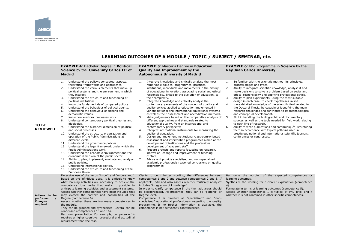

### **LEARNING OUTCOMES OF A MODULE / TOPIC / SUBJECT / SEMINAR, etc.**

|                                                      | <b>EXAMPLE 4: Bachelor Degree in Political</b><br>Science by the University Carlos III of<br><b>Madrid</b>                                                                                                                                                                                                                                                                                                                                                                                                                                                                                                                                                                                                                                                                                                                                                                                                                                                                                                                                                                                                                                                                                                                                              | <b>EXAMPLE 5: Master's Degree in Education</b><br><b>EXAMPLE 6:</b> Phd Programme in Science by the<br><b>Quality and Improvement by the</b><br><b>Rey Juan Carlos University</b><br><b>Autonomous University of Madrid</b>                                                                                                                                                                                                                                                                                                                                                                                                                                                                                                                                                                                                                                                                                                                                                                                                                                                                                                                                                                                                                                                                                                                                                   |                                                                                                                                                                                                                                                                                                                                                                                                                                                                                                                                                                                                                                                                                                                                                                                                                                                                                                                                                                                                              |
|------------------------------------------------------|---------------------------------------------------------------------------------------------------------------------------------------------------------------------------------------------------------------------------------------------------------------------------------------------------------------------------------------------------------------------------------------------------------------------------------------------------------------------------------------------------------------------------------------------------------------------------------------------------------------------------------------------------------------------------------------------------------------------------------------------------------------------------------------------------------------------------------------------------------------------------------------------------------------------------------------------------------------------------------------------------------------------------------------------------------------------------------------------------------------------------------------------------------------------------------------------------------------------------------------------------------|-------------------------------------------------------------------------------------------------------------------------------------------------------------------------------------------------------------------------------------------------------------------------------------------------------------------------------------------------------------------------------------------------------------------------------------------------------------------------------------------------------------------------------------------------------------------------------------------------------------------------------------------------------------------------------------------------------------------------------------------------------------------------------------------------------------------------------------------------------------------------------------------------------------------------------------------------------------------------------------------------------------------------------------------------------------------------------------------------------------------------------------------------------------------------------------------------------------------------------------------------------------------------------------------------------------------------------------------------------------------------------|--------------------------------------------------------------------------------------------------------------------------------------------------------------------------------------------------------------------------------------------------------------------------------------------------------------------------------------------------------------------------------------------------------------------------------------------------------------------------------------------------------------------------------------------------------------------------------------------------------------------------------------------------------------------------------------------------------------------------------------------------------------------------------------------------------------------------------------------------------------------------------------------------------------------------------------------------------------------------------------------------------------|
| TO BE<br><b>REVIEWED</b>                             | Understand the policy's conceptual aspects,<br>1.<br>theoretical frameworks and approaches.<br>Understand the various elements that make up<br>2.<br>political systems and the environment in which<br>they interact.<br>Understand the structure and functioning of<br>3.<br>political institutions.<br>Know the fundamentals of compared politics.<br>4.<br>5.<br>Understand the behaviour of political agents.<br>6.<br>Understand the behaviour of citizens and<br>democratic values.<br>Know how electoral processes work.<br>7.<br>8.<br>Understand contemporary political theories and<br>ideologies.<br>9.<br>Understand the historical dimension of political<br>and social processes.<br>Understand the structure, organization and<br>10.<br>operation of the Public Administrations at<br>different levels.<br>11. Understand the governance policies.<br>12. Understand the legal framework under which the<br>Public Administrations work.<br>13. Understand the economic environment and the<br>economic dimension of the public sector.<br>14. Ability to plan, implement, evaluate and analyse<br>public policies.<br>15. Understand international politics.<br>16. Understand the structure and functioning of the<br>European Union. | Integrate knowledge and critically analyse the most<br>1.<br>remarkable policies, programmes, practices,<br>institutions, individuals and movements in the history<br>of educational innovation, associating social and ethical<br>responsibility, linked to the evolution of education, to<br>their complexity.<br>Integrate knowledge and critically analyse the<br>2.<br>contemporary elements of the concept of quality and<br>quality policies applied to education implemented in<br>various national and international educational systems<br>as well as their assessment and accreditation methods.<br>3.<br>Make judgements based on the comparative analysis of<br>different approaches and standards related to<br>educational quality, from an international and<br>contemporary perspective.<br>Interpret international instruments for measuring the<br>4.<br>quality of education.<br>Design and implement institutional classroom-oriented<br>5.<br>assessment and intervention programmes aimed at the<br>development of institutions and the professional<br>development of academic staff.<br>6.<br>Prepare projects and reports focussing on research,<br>innovation, change and improvement of teaching<br>centres.<br>7.<br>Advise and provide specialised and non-specialised<br>academic professionals reasoned conclusions on quality<br>programmes. | Be familiar with the scientific method, its principles,<br>1.<br>process stages and types.<br>2.<br>Ability to integrate scientific knowledge, analyse it and<br>make decisions to solve a problem based on social and<br>ethical responsibility and applying professional ethics.<br>Ability to plan experiments, using the most suitable<br>3.<br>design in each case, to check hypotheses raised.<br>4.<br>Have detailed knowledge of the scientific field related to<br>the Doctoral Thesis, be capable of identifying the main<br>research challenges and contribute to its methodological<br>and conceptual development.<br>5.<br>Skill in handling the bibliographic and documentary<br>sources as well as the tools needed for field work relating<br>to each line of research.<br>6.<br>Ability to write publications and communiqués, structuring<br>them in accordance with typical patterns used in<br>prestigious national and international scientific journals,<br>conferences or congresses. |
| Actions to<br>be<br>performed<br>Changes<br>required | Excessive use of the verbs "know" and "understand".<br>Based on the infinitives used, it is difficult to know<br>what learning activities are necessary to achieve the<br>competence. Use verbs that make it possible to<br>anticipate learning activities and assessment systems.<br>Assess whether competences have been included that<br>may exceed the context and possibilities of the<br>Degree (competence 6).<br>Assess whether there are too many competences in<br>the module.<br>They can be grouped and synthesized. Several can be<br>condensed (competences 15 and 16).<br>Harmonic presentation. For example, competence 14<br>requires a higher cognitive, procedural and attitudinal<br>requirement than the rest.                                                                                                                                                                                                                                                                                                                                                                                                                                                                                                                     | Clarify, through better wording, the differences between<br>competences 1 and 2 and between competences 2 and 3. If<br>applicable, add and also assess whether "critically analyse"<br>includes "integration of knowledge".<br>In order to clarify competence 5, the thematic areas should<br>be disaggregated. As presented, they can be "general" or<br>Degree level.<br>Competence 7 is directed at "specialized" and "non-<br>specialised" educational professionals regarding the quality<br>programme. If no further information is available, the<br>competence is not sufficiently contextualized.                                                                                                                                                                                                                                                                                                                                                                                                                                                                                                                                                                                                                                                                                                                                                                    | Harmonize the wording of the expected competences or<br>learning outcomes.<br>Synthesize the wording for a clearer explanation (competence<br>4).<br>Formulate in terms of learning outcomes (competence 5).<br>Assess whether competence 1 is typical of PhD level and if<br>whether it is not contained in other specific competences.                                                                                                                                                                                                                                                                                                                                                                                                                                                                                                                                                                                                                                                                     |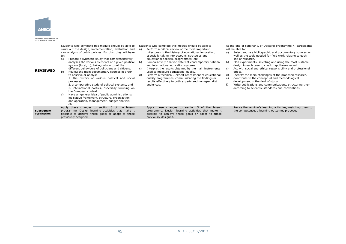

#### AGENCIA NACIONAL DE EVALUACIÓN<br>DE LA CALIDAD Y ACREDITACIÓN

| <b>REVIEWED</b>                   | Students who complete this module should be able to<br>carry out the design, implementation, evaluation and<br>or analysis of public policies. For this, they will have<br>to:<br>a)<br>Prepare a synthetic study that comprehensively<br>analyses the various elements of a given political<br>system (local,), taking into account the<br>different behaviours of politicians and citizens.<br>b)<br>Review the main documentary sources in order<br>to observe or analyse:<br>1. the history of various political and social<br>processes,<br>2. a comparative study of political systems, and<br>3. international politics, especially focusing on<br>the European context.<br>Have an general idea of public administrations:<br>C)<br>legislative framework, structure, organization<br>and operation, management, budget analysis, | Students who complete this module should be able to:<br>Perform a critical review of the most important<br>a)<br>milestones in the history of educational innovation,<br>especially taking into account: strategies and<br>educational policies, programmes, etc<br>Comparatively analyse different contemporary national<br>b)<br>and international education systems.<br>Interpret the results obtained by the main instruments<br>C)<br>used to measure educational quality.<br>Perform a technical / expert assessment of educational<br>d)<br>quality programmes, communicating the findings or<br>results effectively to both experts and non-specialist<br>audiences. | At the end of seminar X of Doctoral programme X, participants<br>will be able to:<br>Select and use bibliographic and documentary sources as<br>a)<br>well as the tools needed for field work relating to each<br>line of research.<br>Plan experiments, selecting and using the most suitable<br>b)<br>design in each case to check hypotheses raised.<br>Act with social and ethical responsibility and professional<br>C)<br>ethics.<br>Identify the main challenges of the proposed research.<br>d)<br>Contribute to the conceptual and methodological<br>development in the field of study.<br>Write publications and communications, structuring them<br>according to scientific standards and conventions. |
|-----------------------------------|-------------------------------------------------------------------------------------------------------------------------------------------------------------------------------------------------------------------------------------------------------------------------------------------------------------------------------------------------------------------------------------------------------------------------------------------------------------------------------------------------------------------------------------------------------------------------------------------------------------------------------------------------------------------------------------------------------------------------------------------------------------------------------------------------------------------------------------------|------------------------------------------------------------------------------------------------------------------------------------------------------------------------------------------------------------------------------------------------------------------------------------------------------------------------------------------------------------------------------------------------------------------------------------------------------------------------------------------------------------------------------------------------------------------------------------------------------------------------------------------------------------------------------|-------------------------------------------------------------------------------------------------------------------------------------------------------------------------------------------------------------------------------------------------------------------------------------------------------------------------------------------------------------------------------------------------------------------------------------------------------------------------------------------------------------------------------------------------------------------------------------------------------------------------------------------------------------------------------------------------------------------|
|                                   | etc.                                                                                                                                                                                                                                                                                                                                                                                                                                                                                                                                                                                                                                                                                                                                                                                                                                      |                                                                                                                                                                                                                                                                                                                                                                                                                                                                                                                                                                                                                                                                              |                                                                                                                                                                                                                                                                                                                                                                                                                                                                                                                                                                                                                                                                                                                   |
| <b>Subsequent</b><br>verification | Apply these changes to section 5 of the lesson<br>programme. Design learning activities that make it<br>possible to achieve these goals or adapt to those<br>previously designed.                                                                                                                                                                                                                                                                                                                                                                                                                                                                                                                                                                                                                                                         | Apply these changes to section 5 of the lesson<br>programme. Design learning activities that make it<br>possible to achieve these goals or adapt to those<br>previously designed.                                                                                                                                                                                                                                                                                                                                                                                                                                                                                            | Revise the seminar's learning activities, matching them to<br>the competences / learning outcomes proposed.                                                                                                                                                                                                                                                                                                                                                                                                                                                                                                                                                                                                       |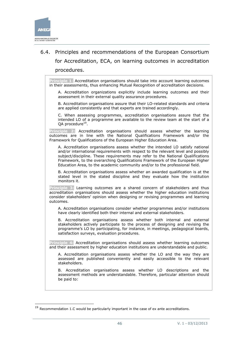

-

# <span id="page-45-0"></span>6.4. Principles and recommendations of the European Consortium for Accreditation, ECA, on learning outcomes in accreditation procedures.

**Principle 1**: Accreditation organisations should take into account learning outcomes in their assessments, thus enhancing Mutual Recognition of accreditation decisions.

A. Accreditation organizations explicitly include learning outcomes and their assessment in their external quality assurance procedures.

B. Accreditation organisations assure that their LO-related standards and criteria are applied consistently and that experts are trained accordingly.

C. When assessing programmes, accreditation organisations assure that the intended LO of a programme are available to the review team at the start of a QA procedure<sup>19</sup>.

**Principle 2:** Accreditation organisations should assess whether the learning outcomes are in line with the National Qualifications Framework and/or the Framework for Qualifications of the European Higher Education Area.

A. Accreditation organisations assess whether the intended LO satisfy national and/or international requirements with respect to the relevant level and possibly subject/discipline. These requirements may refer to the National Qualifications Framework, to the overarching Qualifications Framework of the European Higher Education Area, to the academic community and/or to the professional field.

B. Accreditation organisations assess whether an awarded qualification is at the stated level in the stated discipline and they evaluate how the institution monitors it.

**Principle 3:** Learning outcomes are a shared concern of stakeholders and thus accreditation organisations should assess whether the higher education institutions consider stakeholders' opinion when designing or revising programmes and learning outcomes.

A. Accreditation organisations consider whether programmes and/or institutions have clearly identified both their internal and external stakeholders.

B. Accreditation organisations assess whether both internal and external stakeholders actively participate to the process of designing and revising the programme's LO by participating, for instance, in meetings, pedagogical boards, satisfaction surveys, evaluation procedures.

**Principle 4:** Accreditation organisations should assess whether learning outcomes and their assessment by higher education institutions are understandable and public.

A. Accreditation organisations assess whether the LO and the way they are assessed are published conveniently and easily accessible to the relevant stakeholders.

B. Accreditation organisations assess whether LO descriptions and the assessment methods are understandable. Therefore, particular attention should be paid to:

 $19$  Recommendation 1.C would be particularly important in the case of ex ante accreditations.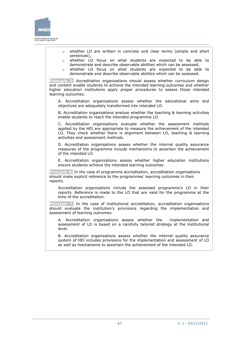

o whether LO are written in concrete and clear terms (simple and short sentences), o whether LO focus on what students are expected to be able to demonstrate and describe observable abilities which can be assessed, o whether LO focus on what students are expected to be able to demonstrate and describe observable abilities which can be assessed. **Principle 5:** Accreditation organisations should assess whether curriculum design and content enable students to achieve the intended learning outcomes and whether higher education institutions apply proper procedures to assess those intended learning outcomes. A. Accreditation organisations assess whether the educational aims and objectives are adequately transformed into intended LO. B. Accreditation organisations analyse whether the teaching & learning activities enable students to reach the intended programme LO. C. Accreditation organisations evaluate whether the assessment methods applied by the HEI are appropriate to measure the achievement of the intended LO. They check whether there is alignment between LO, teaching & learning activities and assessment methods. D. Accreditation organisations assess whether the internal quality assurance measures of the programme include mechanisms to ascertain the achievement of the intended LO. E. Accreditation organizations assess whether higher education institutions ensure students achieve the intended learning outcomes. **Principle 6:** In the case of programme accreditation, accreditation organisations should make explicit reference to the programmes' learning outcomes in their reports. Accreditation organisations include the assessed programme's LO in their reports. Reference is made to the LO that are valid for the programme at the time of the accreditation. **Principle 7:** In the case of institutional accreditation, accreditation organisations should evaluate the institution's provisions regarding the implementation and assessment of learning outcomes. A. Accreditation organisations assess whether the implementation and assessment of LO is based on a carefully tailored strategy at the institutional level. B. Accreditation organisations assess whether the internal quality assurance system of HEI includes provisions for the implementation and assessment of LO as well as mechanisms to ascertain the achievement of the intended LO.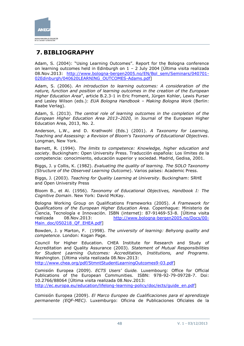

# <span id="page-47-0"></span>**7. BIBLIOGRAPHY**

Adam, S. (2004): "Using Learning Outcomes". Report for the Bologna conference on learning outcomes held in Edinburgh on 1 – 2 July 2004 [Última visita realizada 08.Nov.2013: [http://www.bologna-bergen2005.no/EN/Bol\\_sem/Seminars/040701-](http://www.bologna-bergen2005.no/EN/Bol_sem/Seminars/040701-02Edinburgh/040620LEARNING_OUTCOMES-Adams.pdf) [02Edinburgh/040620LEARNING\\_OUTCOMES-Adams.pdf\]](http://www.bologna-bergen2005.no/EN/Bol_sem/Seminars/040701-02Edinburgh/040620LEARNING_OUTCOMES-Adams.pdf)

Adam, S. (2006). *An introduction to learning outcomes: A consideration of the nature, function and position of learning outcomes in the creation of the European Higher Education Area*", article B.2.3-1 in Eric Froment, Jürgen Kohler, Lewis Purser and Lesley Wilson (eds.): *EUA Bologna Handbook – Making Bologna Work* (Berlin: Raabe Verlag).

Adam, S. (2013). *The central role of learning outcomes in the completion of the European Higher Education Area 2013–2020,* in Journal of the European Higher Education Area, 2013, No. 2.

Anderson, L.W., and D. Krathwohl (Eds.) (2001). *A Taxonomy for Learning, Teaching and Assessing: a Revision of Bloom's Taxonomy of Educational Objectives*. Longman, New York.

Barnett, R. (1994). *The limits to competence: Knowledge, higher education and society*. Buckingham: Open University Press. Traducción española: Los límites de la competencia: conocimiento, educación superior y sociedad. Madrid, Gedisa, 2001.

Biggs, J. y Collis, K. (1982). *Evaluating the quality of learning. The SOLO Taxonomy (Structure of the Observed Learning Outcome*). Varios países: Academic Press.

Biggs, J. (2003). *Teaching for Quality Learning at University*. Buckingham: SRHE and Open University Press

Bloom B., et Al. (1956). *Taxonomy of Educational Objectives, Handbook I: The Cognitive Domain*. New York: David McKay.

Bologna Working Group on Qualifications Frameworks (2005). *A Framework for Qualifications of the European Higher Education Area.* Copenhague: Ministerio de Ciencia, Tecnología e Innovación. ISBN (internet): 87-91469-53-8. [Última visita realizada 08.Nov.2013: [http://www.bologna-bergen2005.no/Docs/00-](http://www.bologna-bergen2005.no/Docs/00-Main_doc/050218_QF_EHEA.pdf) [Main\\_doc/050218\\_QF\\_EHEA.pdf\]](http://www.bologna-bergen2005.no/Docs/00-Main_doc/050218_QF_EHEA.pdf)

Bowden, J. y Marton, F. (1998). *The university of learning: Behyong quality and competence.* London: Kogan Page.

Council for Higher Education. CHEA Institute for Research and Study of Accreditation and Quality Assurance (2003). *Statement of Mutual Responsibilities for Student Learning Outcomes: Accreditation, Institutions, and Programs*. Washington. [Última visita realizada 08.Nov.2013:

[http://www.chea.org/pdf/StmntStudentLearningOutcomes9-03.pdf\]](http://www.chea.org/pdf/StmntStudentLearningOutcomes9-03.pdf)

Comisión Europea (2009). *ECTS Users' Guide.* Luxembourg: Office for Official Publications of the European Communities. ISBN: 978-92-79-09728-7. Doi: 10.2766/88064 [Última visita realizada 08.Nov.2013: [http://ec.europa.eu/education/lifelong-learning-policy/doc/ects/guide\\_en.pdf\]](http://ec.europa.eu/education/lifelong-learning-policy/doc/ects/guide_en.pdf)

Comisión Europea (2009). *El Marco Europeo de Cualificaciones para el aprendizaje permanente (EQF-MEC).* Luxemburgo: Oficina de Publicaciones Oficiales de la